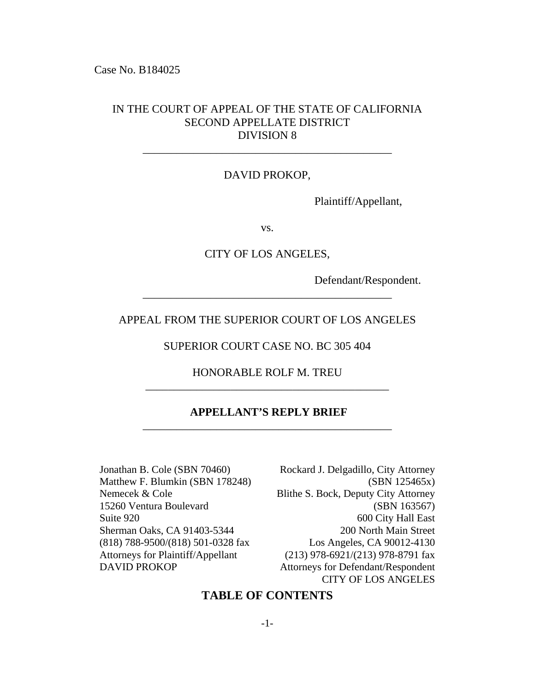Case No. B184025

### IN THE COURT OF APPEAL OF THE STATE OF CALIFORNIA SECOND APPELLATE DISTRICT DIVISION 8

### DAVID PROKOP,

\_\_\_\_\_\_\_\_\_\_\_\_\_\_\_\_\_\_\_\_\_\_\_\_\_\_\_\_\_\_\_\_\_\_\_\_\_\_\_\_\_\_\_\_

Plaintiff/Appellant,

vs.

CITY OF LOS ANGELES,

Defendant/Respondent.

### APPEAL FROM THE SUPERIOR COURT OF LOS ANGELES

\_\_\_\_\_\_\_\_\_\_\_\_\_\_\_\_\_\_\_\_\_\_\_\_\_\_\_\_\_\_\_\_\_\_\_\_\_\_\_\_\_\_\_\_

### SUPERIOR COURT CASE NO. BC 305 404

### HONORABLE ROLF M. TREU \_\_\_\_\_\_\_\_\_\_\_\_\_\_\_\_\_\_\_\_\_\_\_\_\_\_\_\_\_\_\_\_\_\_\_\_\_\_\_\_\_\_\_

### **APPELLANT'S REPLY BRIEF** \_\_\_\_\_\_\_\_\_\_\_\_\_\_\_\_\_\_\_\_\_\_\_\_\_\_\_\_\_\_\_\_\_\_\_\_\_\_\_\_\_\_\_\_

Jonathan B. Cole (SBN 70460) Matthew F. Blumkin (SBN 178248) Nemecek & Cole 15260 Ventura Boulevard Suite 920 Sherman Oaks, CA 91403-5344 (818) 788-9500/(818) 501-0328 fax Attorneys for Plaintiff/Appellant DAVID PROKOP

Rockard J. Delgadillo, City Attorney (SBN 125465x) Blithe S. Bock, Deputy City Attorney (SBN 163567) 600 City Hall East 200 North Main Street Los Angeles, CA 90012-4130 (213) 978-6921/(213) 978-8791 fax Attorneys for Defendant/Respondent CITY OF LOS ANGELES

### **TABLE OF CONTENTS**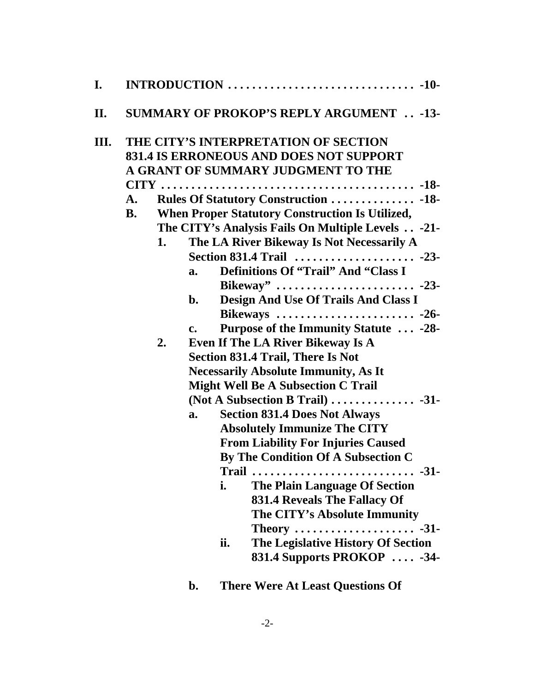| I.  |                 |          |                                                                                                                                                                                                                                                                                                                                                                                                                                                                                                                                                                                                                                                                                                                                                                                                                                                                                                                                                                                                                                                                                                          |
|-----|-----------------|----------|----------------------------------------------------------------------------------------------------------------------------------------------------------------------------------------------------------------------------------------------------------------------------------------------------------------------------------------------------------------------------------------------------------------------------------------------------------------------------------------------------------------------------------------------------------------------------------------------------------------------------------------------------------------------------------------------------------------------------------------------------------------------------------------------------------------------------------------------------------------------------------------------------------------------------------------------------------------------------------------------------------------------------------------------------------------------------------------------------------|
| II. |                 |          | <b>SUMMARY OF PROKOP'S REPLY ARGUMENT -13-</b>                                                                                                                                                                                                                                                                                                                                                                                                                                                                                                                                                                                                                                                                                                                                                                                                                                                                                                                                                                                                                                                           |
| Ш.  | A.<br><b>B.</b> | 1.<br>2. | THE CITY'S INTERPRETATION OF SECTION<br><b>831.4 IS ERRONEOUS AND DOES NOT SUPPORT</b><br>A GRANT OF SUMMARY JUDGMENT TO THE<br>When Proper Statutory Construction Is Utilized,<br>The CITY's Analysis Fails On Multiple Levels -21-<br>The LA River Bikeway Is Not Necessarily A<br>Section 831.4 Trail  -23-<br><b>Definitions Of "Trail" And "Class I</b><br>a.<br>Design And Use Of Trails And Class I<br>$\mathbf{b}$ .<br>Purpose of the Immunity Statute  -28-<br>$c_{\bullet}$<br>Even If The LA River Bikeway Is A<br><b>Section 831.4 Trail, There Is Not</b><br><b>Necessarily Absolute Immunity, As It</b><br><b>Might Well Be A Subsection C Trail</b><br>(Not A Subsection B Trail) $\dots \dots \dots \dots \dots$ -31-<br><b>Section 831.4 Does Not Always</b><br>a.<br><b>Absolutely Immunize The CITY</b><br><b>From Liability For Injuries Caused</b><br>By The Condition Of A Subsection C<br>i.<br>The Plain Language Of Section<br><b>831.4 Reveals The Fallacy Of</b><br>The CITY's Absolute Immunity<br>ii.<br>The Legislative History Of Section<br>831.4 Supports PROKOP  -34- |
|     |                 |          |                                                                                                                                                                                                                                                                                                                                                                                                                                                                                                                                                                                                                                                                                                                                                                                                                                                                                                                                                                                                                                                                                                          |

**b. There Were At Least Questions Of**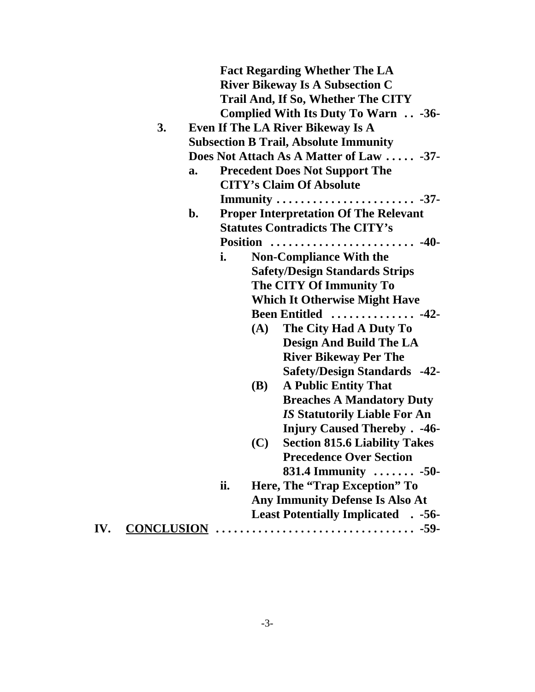|     |                                              | <b>Fact Regarding Whether The LA</b>                                            |                                              |  |  |  |  |  |
|-----|----------------------------------------------|---------------------------------------------------------------------------------|----------------------------------------------|--|--|--|--|--|
|     |                                              | <b>River Bikeway Is A Subsection C</b>                                          |                                              |  |  |  |  |  |
|     | Trail And, If So, Whether The CITY           |                                                                                 |                                              |  |  |  |  |  |
|     |                                              | Complied With Its Duty To Warn -36-<br><b>Even If The LA River Bikeway Is A</b> |                                              |  |  |  |  |  |
|     | 3.                                           |                                                                                 |                                              |  |  |  |  |  |
|     | <b>Subsection B Trail, Absolute Immunity</b> |                                                                                 |                                              |  |  |  |  |  |
|     |                                              |                                                                                 | Does Not Attach As A Matter of Law  -37-     |  |  |  |  |  |
|     |                                              | a.                                                                              | <b>Precedent Does Not Support The</b>        |  |  |  |  |  |
|     |                                              |                                                                                 | <b>CITY's Claim Of Absolute</b>              |  |  |  |  |  |
|     |                                              |                                                                                 |                                              |  |  |  |  |  |
|     |                                              | $\mathbf{b}$ .                                                                  | <b>Proper Interpretation Of The Relevant</b> |  |  |  |  |  |
|     |                                              |                                                                                 | <b>Statutes Contradicts The CITY's</b>       |  |  |  |  |  |
|     |                                              |                                                                                 |                                              |  |  |  |  |  |
|     |                                              | i.<br><b>Non-Compliance With the</b>                                            |                                              |  |  |  |  |  |
|     |                                              |                                                                                 | <b>Safety/Design Standards Strips</b>        |  |  |  |  |  |
|     |                                              |                                                                                 | The CITY Of Immunity To                      |  |  |  |  |  |
|     |                                              |                                                                                 | <b>Which It Otherwise Might Have</b>         |  |  |  |  |  |
|     |                                              |                                                                                 | Been Entitled  -42-                          |  |  |  |  |  |
|     |                                              |                                                                                 | The City Had A Duty To<br>(A)                |  |  |  |  |  |
|     |                                              |                                                                                 | <b>Design And Build The LA</b>               |  |  |  |  |  |
|     |                                              |                                                                                 | <b>River Bikeway Per The</b>                 |  |  |  |  |  |
|     |                                              |                                                                                 | <b>Safety/Design Standards -42-</b>          |  |  |  |  |  |
|     |                                              |                                                                                 | <b>A Public Entity That</b><br><b>(B)</b>    |  |  |  |  |  |
|     |                                              |                                                                                 | <b>Breaches A Mandatory Duty</b>             |  |  |  |  |  |
|     |                                              |                                                                                 | <b>IS Statutorily Liable For An</b>          |  |  |  |  |  |
|     |                                              |                                                                                 | <b>Injury Caused Thereby . -46-</b>          |  |  |  |  |  |
|     |                                              |                                                                                 | <b>Section 815.6 Liability Takes</b><br>(C)  |  |  |  |  |  |
|     |                                              |                                                                                 | <b>Precedence Over Section</b>               |  |  |  |  |  |
|     |                                              |                                                                                 | 831.4 Immunity $\ldots \ldots \ldots -50$    |  |  |  |  |  |
|     |                                              | ii.                                                                             | Here, The "Trap Exception" To                |  |  |  |  |  |
|     |                                              |                                                                                 | <b>Any Immunity Defense Is Also At</b>       |  |  |  |  |  |
|     |                                              |                                                                                 | <b>Least Potentially Implicated . -56-</b>   |  |  |  |  |  |
| IV. |                                              |                                                                                 |                                              |  |  |  |  |  |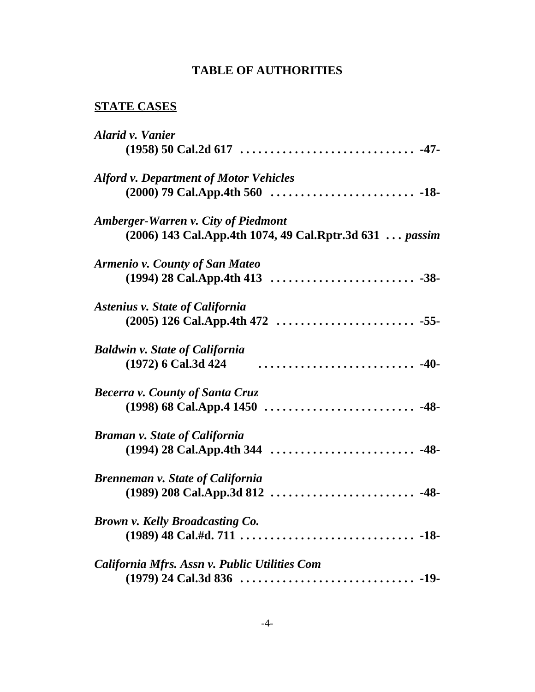# **TABLE OF AUTHORITIES**

## **STATE CASES**

| <b>Alarid v. Vanier</b>                                 |
|---------------------------------------------------------|
|                                                         |
| <b>Alford v. Department of Motor Vehicles</b>           |
|                                                         |
| <b>Amberger-Warren v. City of Piedmont</b>              |
| (2006) 143 Cal.App.4th 1074, 49 Cal.Rptr.3d 631  passim |
| <b>Armenio v. County of San Mateo</b>                   |
|                                                         |
| <b>Astenius v. State of California</b>                  |
|                                                         |
| <b>Baldwin v. State of California</b>                   |
| (1972) 6 Cal.3d 424                                     |
| <b>Becerra v. County of Santa Cruz</b>                  |
|                                                         |
| <b>Braman v. State of California</b>                    |
|                                                         |
| Brenneman v. State of California                        |
|                                                         |
| <b>Brown v. Kelly Broadcasting Co.</b>                  |
|                                                         |
| California Mfrs. Assn v. Public Utilities Com           |
|                                                         |
|                                                         |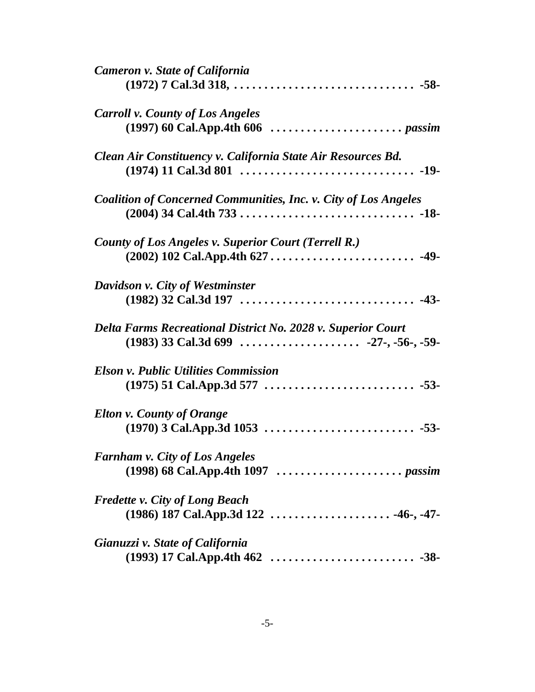| <b>Cameron v. State of California</b>                                  |
|------------------------------------------------------------------------|
|                                                                        |
| <b>Carroll v. County of Los Angeles</b>                                |
|                                                                        |
| Clean Air Constituency v. California State Air Resources Bd.           |
| <b>Coalition of Concerned Communities, Inc. v. City of Los Angeles</b> |
| <b>County of Los Angeles v. Superior Court (Terrell R.)</b>            |
|                                                                        |
| Davidson v. City of Westminster                                        |
|                                                                        |
| Delta Farms Recreational District No. 2028 v. Superior Court           |
|                                                                        |
| <b>Elson v. Public Utilities Commission</b>                            |
|                                                                        |
| <b>Elton v. County of Orange</b>                                       |
|                                                                        |
| <b>Farnham v. City of Los Angeles</b>                                  |
|                                                                        |
| <b>Fredette v. City of Long Beach</b>                                  |
|                                                                        |
| Gianuzzi v. State of California                                        |
|                                                                        |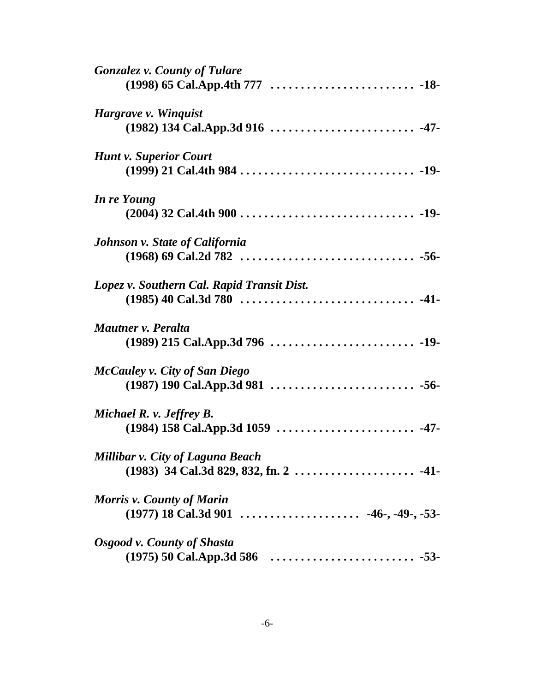| <b>Gonzalez v. County of Tulare</b>        |  |
|--------------------------------------------|--|
|                                            |  |
| Hargrave v. Winquist                       |  |
|                                            |  |
| <b>Hunt v. Superior Court</b>              |  |
|                                            |  |
| In re Young                                |  |
|                                            |  |
| <b>Johnson v. State of California</b>      |  |
|                                            |  |
| Lopez v. Southern Cal. Rapid Transit Dist. |  |
|                                            |  |
| Mautner v. Peralta                         |  |
|                                            |  |
| <b>McCauley v. City of San Diego</b>       |  |
|                                            |  |
| Michael R. v. Jeffrey B.                   |  |
|                                            |  |
| Millibar v. City of Laguna Beach           |  |
|                                            |  |
| <b>Morris v. County of Marin</b>           |  |
|                                            |  |
| Osgood v. County of Shasta                 |  |
|                                            |  |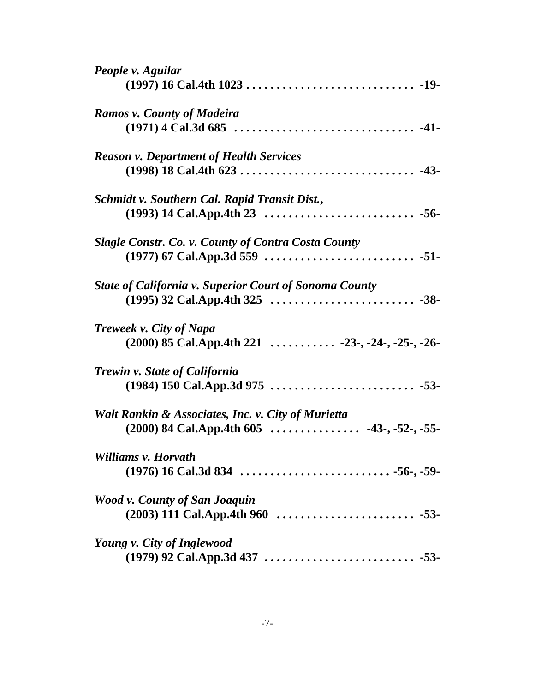| People v. Aguilar                                             |  |
|---------------------------------------------------------------|--|
|                                                               |  |
| <b>Ramos v. County of Madeira</b>                             |  |
|                                                               |  |
| <b>Reason v. Department of Health Services</b>                |  |
|                                                               |  |
| Schmidt v. Southern Cal. Rapid Transit Dist.,                 |  |
|                                                               |  |
| <b>Slagle Constr. Co. v. County of Contra Costa County</b>    |  |
|                                                               |  |
| <b>State of California v. Superior Court of Sonoma County</b> |  |
|                                                               |  |
| <b>Treweek v. City of Napa</b>                                |  |
|                                                               |  |
| Trewin v. State of California                                 |  |
|                                                               |  |
| Walt Rankin & Associates, Inc. v. City of Murietta            |  |
|                                                               |  |
| Williams v. Horvath                                           |  |
|                                                               |  |
| Wood v. County of San Joaquin                                 |  |
|                                                               |  |
| Young v. City of Inglewood                                    |  |
|                                                               |  |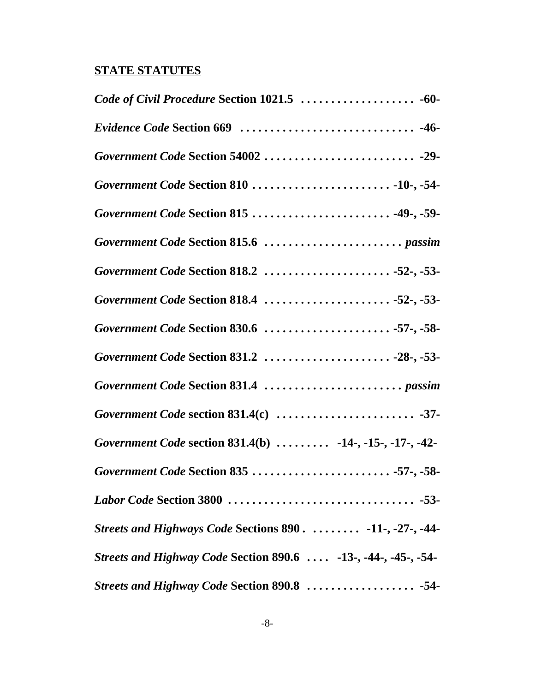# **STATE STATUTES**

| Code of Civil Procedure Section 1021.5  -60-                   |
|----------------------------------------------------------------|
|                                                                |
|                                                                |
|                                                                |
| Government Code Section 815  -49-, -59-                        |
|                                                                |
| Government Code Section 818.2 52-, -53-                        |
| Government Code Section 818.4 52-, -53-                        |
| Government Code Section 830.6 57-, -58-                        |
|                                                                |
|                                                                |
|                                                                |
| Government Code section 831.4(b)  -14-, -15-, -17-, -42-       |
| Government Code Section 835 57-, -58-                          |
|                                                                |
| Streets and Highways Code Sections 890.  -11-, -27-, -44-      |
| Streets and Highway Code Section 890.6  -13-, -44-, -45-, -54- |
| Streets and Highway Code Section 890.8  -54-                   |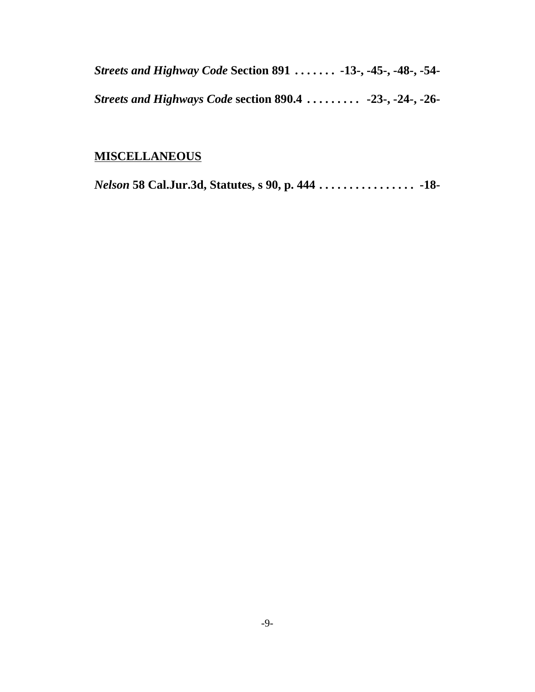*Streets and Highway Code* **Section 891 . . . . . . . -13-, -45-, -48-, -54-** *Streets and Highways Code* **section 890.4 . . . . . . . . . -23-, -24-, -26-**

## **MISCELLANEOUS**

*Nelson* **58 Cal.Jur.3d, Statutes, s 90, p. 444 . . . . . . . . . . . . . . . . -18-**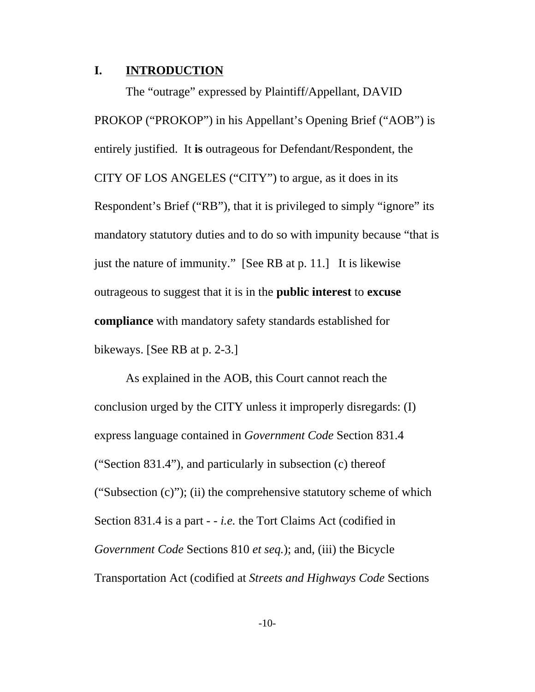### **I. INTRODUCTION**

The "outrage" expressed by Plaintiff/Appellant, DAVID PROKOP ("PROKOP") in his Appellant's Opening Brief ("AOB") is entirely justified. It **is** outrageous for Defendant/Respondent, the CITY OF LOS ANGELES ("CITY") to argue, as it does in its Respondent's Brief ("RB"), that it is privileged to simply "ignore" its mandatory statutory duties and to do so with impunity because "that is just the nature of immunity." [See RB at p. 11.] It is likewise outrageous to suggest that it is in the **public interest** to **excuse compliance** with mandatory safety standards established for bikeways. [See RB at p. 2-3.]

As explained in the AOB, this Court cannot reach the conclusion urged by the CITY unless it improperly disregards: (I) express language contained in *Government Code* Section 831.4 ("Section 831.4"), and particularly in subsection (c) thereof ("Subsection (c)"); (ii) the comprehensive statutory scheme of which Section 831.4 is a part - - *i.e.* the Tort Claims Act (codified in *Government Code* Sections 810 *et seq.*); and, (iii) the Bicycle Transportation Act (codified at *Streets and Highways Code* Sections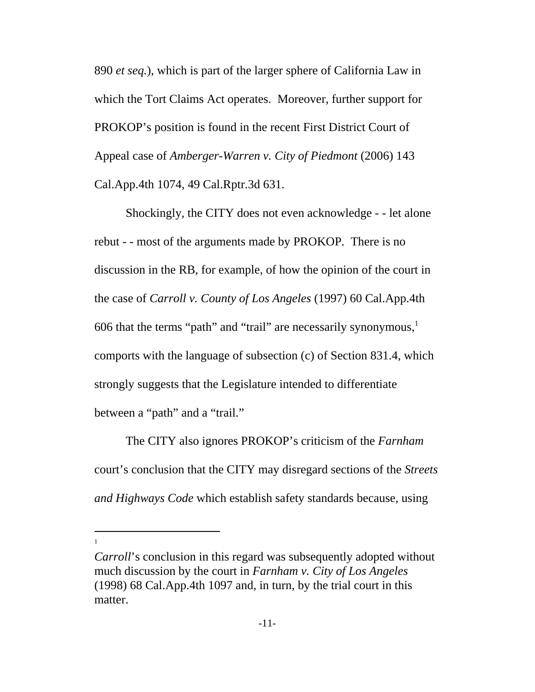890 *et seq.*), which is part of the larger sphere of California Law in which the Tort Claims Act operates. Moreover, further support for PROKOP's position is found in the recent First District Court of Appeal case of *Amberger-Warren v. City of Piedmont* (2006) 143 Cal.App.4th 1074, 49 Cal.Rptr.3d 631.

Shockingly, the CITY does not even acknowledge - - let alone rebut - - most of the arguments made by PROKOP. There is no discussion in the RB, for example, of how the opinion of the court in the case of *Carroll v. County of Los Angeles* (1997) 60 Cal.App.4th 606 that the terms "path" and "trail" are necessarily synonymous, $<sup>1</sup>$ </sup> comports with the language of subsection (c) of Section 831.4, which strongly suggests that the Legislature intended to differentiate between a "path" and a "trail."

The CITY also ignores PROKOP's criticism of the *Farnham* court's conclusion that the CITY may disregard sections of the *Streets and Highways Code* which establish safety standards because, using

*Carroll*'s conclusion in this regard was subsequently adopted without much discussion by the court in *Farnham v. City of Los Angeles* (1998) 68 Cal.App.4th 1097 and, in turn, by the trial court in this matter.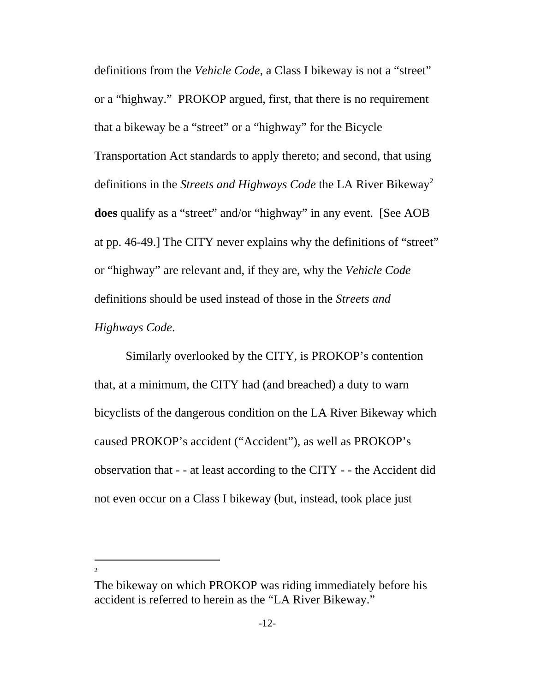definitions from the *Vehicle Code*, a Class I bikeway is not a "street" or a "highway." PROKOP argued, first, that there is no requirement that a bikeway be a "street" or a "highway" for the Bicycle Transportation Act standards to apply thereto; and second, that using definitions in the *Streets and Highways Code* the LA River Bikeway<sup>2</sup> **does** qualify as a "street" and/or "highway" in any event. [See AOB at pp. 46-49.] The CITY never explains why the definitions of "street" or "highway" are relevant and, if they are, why the *Vehicle Code* definitions should be used instead of those in the *Streets and Highways Code*.

Similarly overlooked by the CITY, is PROKOP's contention that, at a minimum, the CITY had (and breached) a duty to warn bicyclists of the dangerous condition on the LA River Bikeway which caused PROKOP's accident ("Accident"), as well as PROKOP's observation that - - at least according to the CITY - - the Accident did not even occur on a Class I bikeway (but, instead, took place just

 $\overline{2}$ 

The bikeway on which PROKOP was riding immediately before his accident is referred to herein as the "LA River Bikeway."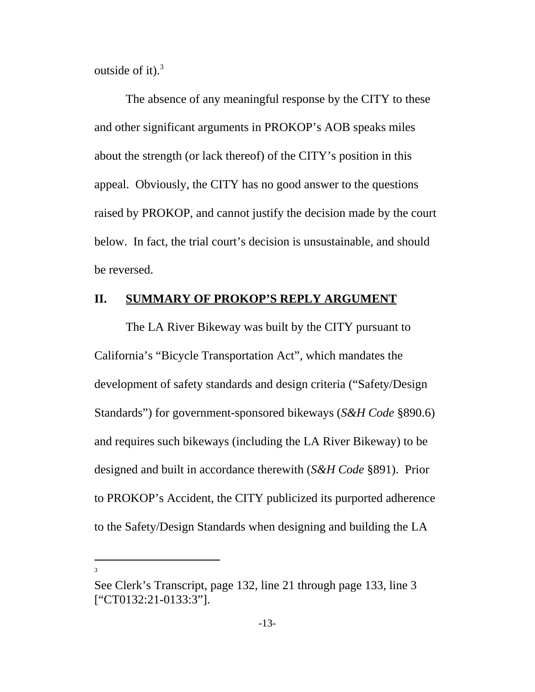outside of it). $3$ 

The absence of any meaningful response by the CITY to these and other significant arguments in PROKOP's AOB speaks miles about the strength (or lack thereof) of the CITY's position in this appeal. Obviously, the CITY has no good answer to the questions raised by PROKOP, and cannot justify the decision made by the court below. In fact, the trial court's decision is unsustainable, and should be reversed.

### **II. SUMMARY OF PROKOP'S REPLY ARGUMENT**

The LA River Bikeway was built by the CITY pursuant to California's "Bicycle Transportation Act", which mandates the development of safety standards and design criteria ("Safety/Design Standards") for government-sponsored bikeways (*S&H Code* §890.6) and requires such bikeways (including the LA River Bikeway) to be designed and built in accordance therewith (*S&H Code* §891). Prior to PROKOP's Accident, the CITY publicized its purported adherence to the Safety/Design Standards when designing and building the LA

See Clerk's Transcript, page 132, line 21 through page 133, line 3 ["CT0132:21-0133:3"].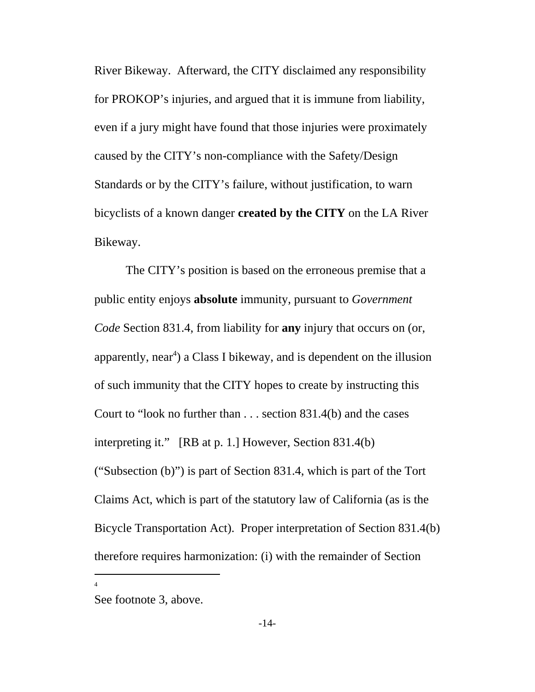River Bikeway. Afterward, the CITY disclaimed any responsibility for PROKOP's injuries, and argued that it is immune from liability, even if a jury might have found that those injuries were proximately caused by the CITY's non-compliance with the Safety/Design Standards or by the CITY's failure, without justification, to warn bicyclists of a known danger **created by the CITY** on the LA River Bikeway.

The CITY's position is based on the erroneous premise that a public entity enjoys **absolute** immunity, pursuant to *Government Code* Section 831.4, from liability for **any** injury that occurs on (or, apparently, near<sup>4</sup>) a Class I bikeway, and is dependent on the illusion of such immunity that the CITY hopes to create by instructing this Court to "look no further than . . . section 831.4(b) and the cases interpreting it." [RB at p. 1.] However, Section 831.4(b) ("Subsection (b)") is part of Section 831.4, which is part of the Tort Claims Act, which is part of the statutory law of California (as is the Bicycle Transportation Act). Proper interpretation of Section 831.4(b) therefore requires harmonization: (i) with the remainder of Section

See footnote 3, above.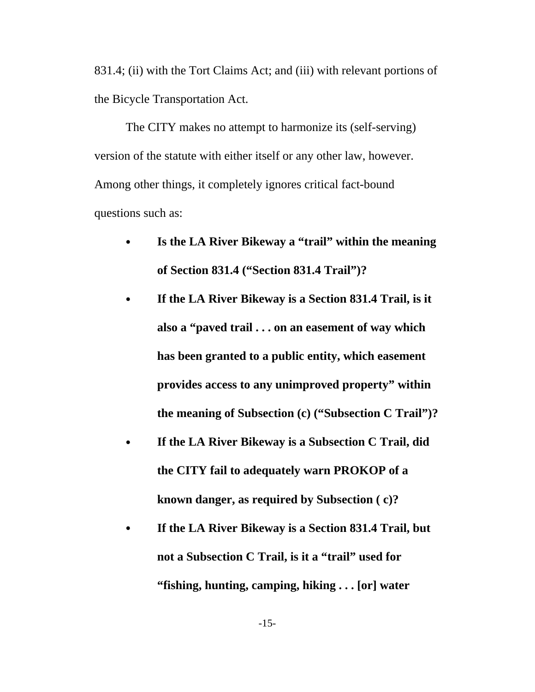831.4; (ii) with the Tort Claims Act; and (iii) with relevant portions of the Bicycle Transportation Act.

The CITY makes no attempt to harmonize its (self-serving) version of the statute with either itself or any other law, however. Among other things, it completely ignores critical fact-bound questions such as:

- Is the LA River Bikeway a "trail" within the meaning **of Section 831.4 ("Section 831.4 Trail")?**
- C **If the LA River Bikeway is a Section 831.4 Trail, is it also a "paved trail . . . on an easement of way which has been granted to a public entity, which easement provides access to any unimproved property" within the meaning of Subsection (c) ("Subsection C Trail")?**
- C **If the LA River Bikeway is a Subsection C Trail, did the CITY fail to adequately warn PROKOP of a known danger, as required by Subsection ( c)?**
- If the LA River Bikeway is a Section 831.4 Trail, but **not a Subsection C Trail, is it a "trail" used for "fishing, hunting, camping, hiking . . . [or] water**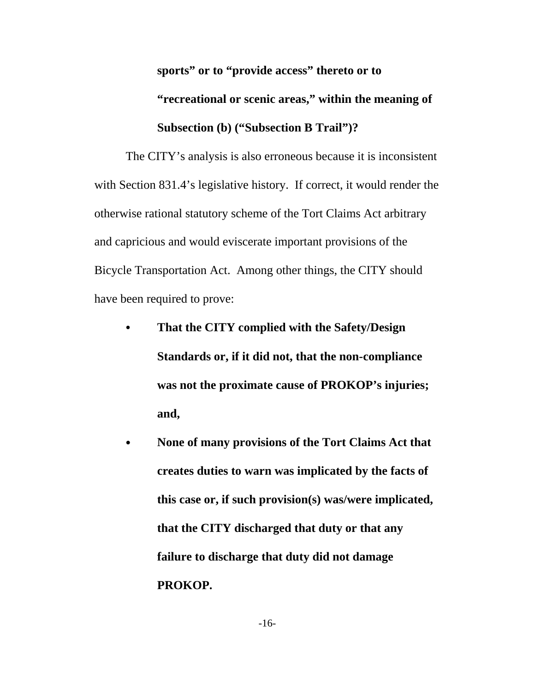**sports" or to "provide access" thereto or to**

# **"recreational or scenic areas," within the meaning of Subsection (b) ("Subsection B Trail")?**

The CITY's analysis is also erroneous because it is inconsistent with Section 831.4's legislative history. If correct, it would render the otherwise rational statutory scheme of the Tort Claims Act arbitrary and capricious and would eviscerate important provisions of the Bicycle Transportation Act. Among other things, the CITY should have been required to prove:

- That the CITY complied with the Safety/Design **Standards or, if it did not, that the non-compliance was not the proximate cause of PROKOP's injuries; and,**
- None of many provisions of the Tort Claims Act that **creates duties to warn was implicated by the facts of this case or, if such provision(s) was/were implicated, that the CITY discharged that duty or that any failure to discharge that duty did not damage PROKOP.**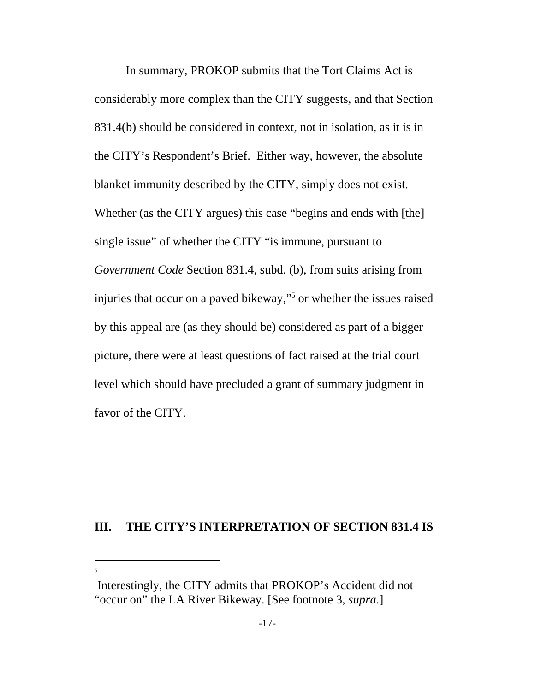In summary, PROKOP submits that the Tort Claims Act is considerably more complex than the CITY suggests, and that Section 831.4(b) should be considered in context, not in isolation, as it is in the CITY's Respondent's Brief. Either way, however, the absolute blanket immunity described by the CITY, simply does not exist. Whether (as the CITY argues) this case "begins and ends with [the] single issue" of whether the CITY "is immune, pursuant to *Government Code* Section 831.4, subd. (b), from suits arising from injuries that occur on a paved bikeway,"5 or whether the issues raised by this appeal are (as they should be) considered as part of a bigger picture, there were at least questions of fact raised at the trial court level which should have precluded a grant of summary judgment in favor of the CITY.

### **III. THE CITY'S INTERPRETATION OF SECTION 831.4 IS**

<sup>5</sup>

Interestingly, the CITY admits that PROKOP's Accident did not "occur on" the LA River Bikeway. [See footnote 3, *supra*.]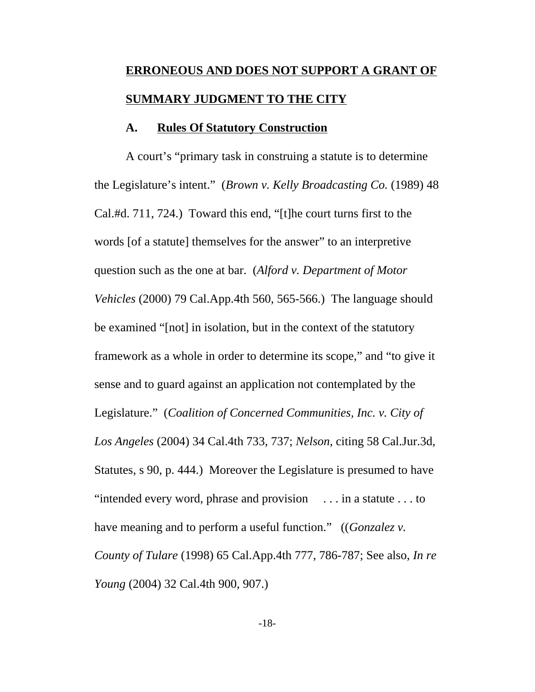# **ERRONEOUS AND DOES NOT SUPPORT A GRANT OF SUMMARY JUDGMENT TO THE CITY**

#### **A. Rules Of Statutory Construction**

A court's "primary task in construing a statute is to determine the Legislature's intent." (*Brown v. Kelly Broadcasting Co.* (1989) 48 Cal.#d. 711, 724.) Toward this end, "[t]he court turns first to the words [of a statute] themselves for the answer" to an interpretive question such as the one at bar. (*Alford v. Department of Motor Vehicles* (2000) 79 Cal.App.4th 560, 565-566.) The language should be examined "[not] in isolation, but in the context of the statutory framework as a whole in order to determine its scope," and "to give it sense and to guard against an application not contemplated by the Legislature." (*Coalition of Concerned Communities, Inc. v. City of Los Angeles* (2004) 34 Cal.4th 733, 737; *Nelson*, citing 58 Cal.Jur.3d, Statutes, s 90, p. 444.) Moreover the Legislature is presumed to have "intended every word, phrase and provision . . . in a statute . . . to have meaning and to perform a useful function." ((*Gonzalez v. County of Tulare* (1998) 65 Cal.App.4th 777, 786-787; See also, *In re Young* (2004) 32 Cal.4th 900, 907.)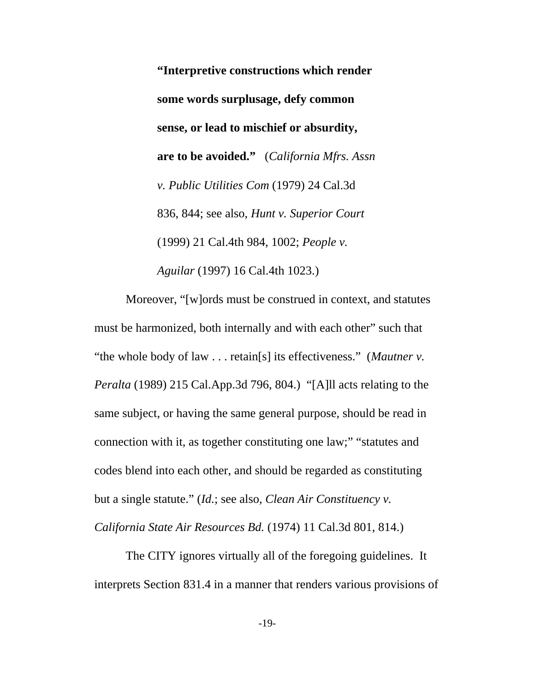**"Interpretive constructions which render some words surplusage, defy common sense, or lead to mischief or absurdity, are to be avoided."** (*California Mfrs. Assn v. Public Utilities Com* (1979) 24 Cal.3d 836, 844; see also, *Hunt v. Superior Court* (1999) 21 Cal.4th 984, 1002; *People v. Aguilar* (1997) 16 Cal.4th 1023.)

Moreover, "[w]ords must be construed in context, and statutes must be harmonized, both internally and with each other" such that "the whole body of law . . . retain[s] its effectiveness." (*Mautner v. Peralta* (1989) 215 Cal.App.3d 796, 804.) "[A]ll acts relating to the same subject, or having the same general purpose, should be read in connection with it, as together constituting one law;" "statutes and codes blend into each other, and should be regarded as constituting but a single statute." (*Id.*; see also, *Clean Air Constituency v.*

*California State Air Resources Bd.* (1974) 11 Cal.3d 801, 814.)

The CITY ignores virtually all of the foregoing guidelines. It interprets Section 831.4 in a manner that renders various provisions of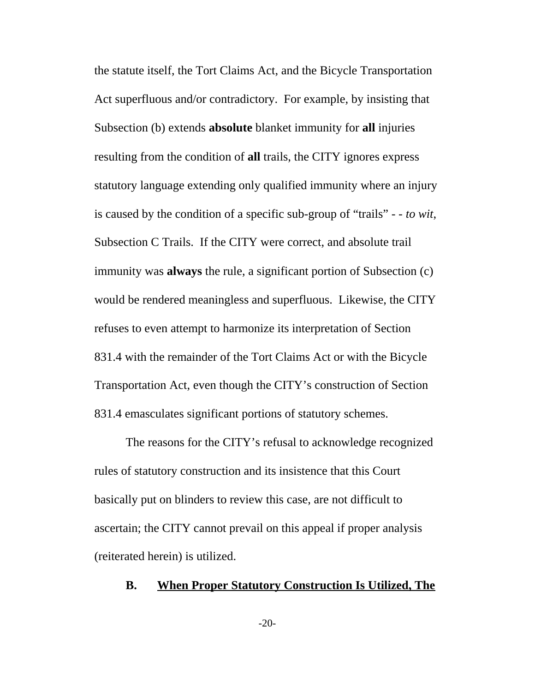the statute itself, the Tort Claims Act, and the Bicycle Transportation Act superfluous and/or contradictory. For example, by insisting that Subsection (b) extends **absolute** blanket immunity for **all** injuries resulting from the condition of **all** trails, the CITY ignores express statutory language extending only qualified immunity where an injury is caused by the condition of a specific sub-group of "trails" - - *to wit*, Subsection C Trails. If the CITY were correct, and absolute trail immunity was **always** the rule, a significant portion of Subsection (c) would be rendered meaningless and superfluous. Likewise, the CITY refuses to even attempt to harmonize its interpretation of Section 831.4 with the remainder of the Tort Claims Act or with the Bicycle Transportation Act, even though the CITY's construction of Section 831.4 emasculates significant portions of statutory schemes.

The reasons for the CITY's refusal to acknowledge recognized rules of statutory construction and its insistence that this Court basically put on blinders to review this case, are not difficult to ascertain; the CITY cannot prevail on this appeal if proper analysis (reiterated herein) is utilized.

### **B. When Proper Statutory Construction Is Utilized, The**

-20-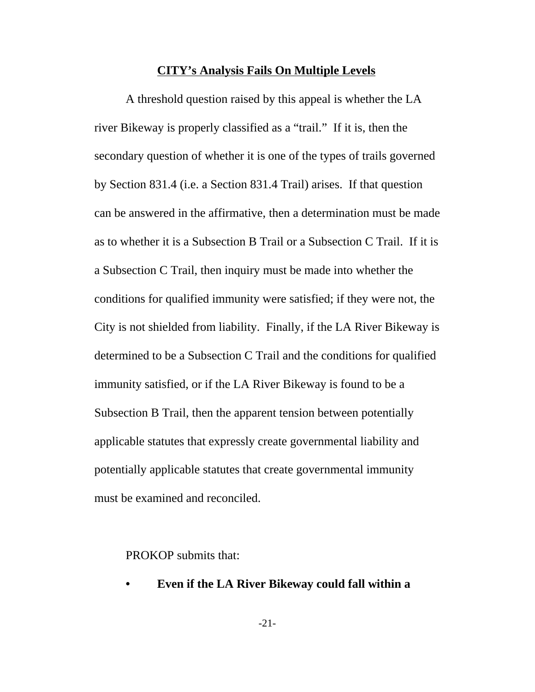#### **CITY's Analysis Fails On Multiple Levels**

A threshold question raised by this appeal is whether the LA river Bikeway is properly classified as a "trail." If it is, then the secondary question of whether it is one of the types of trails governed by Section 831.4 (i.e. a Section 831.4 Trail) arises. If that question can be answered in the affirmative, then a determination must be made as to whether it is a Subsection B Trail or a Subsection C Trail. If it is a Subsection C Trail, then inquiry must be made into whether the conditions for qualified immunity were satisfied; if they were not, the City is not shielded from liability. Finally, if the LA River Bikeway is determined to be a Subsection C Trail and the conditions for qualified immunity satisfied, or if the LA River Bikeway is found to be a Subsection B Trail, then the apparent tension between potentially applicable statutes that expressly create governmental liability and potentially applicable statutes that create governmental immunity must be examined and reconciled.

PROKOP submits that:

- **Even if the LA River Bikeway could fall within a**
	- -21-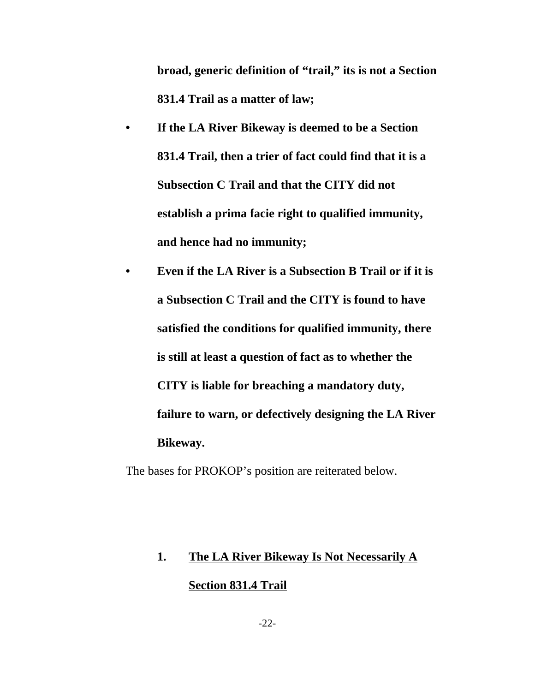**broad, generic definition of "trail," its is not a Section 831.4 Trail as a matter of law;**

- **If the LA River Bikeway is deemed to be a Section 831.4 Trail, then a trier of fact could find that it is a Subsection C Trail and that the CITY did not establish a prima facie right to qualified immunity, and hence had no immunity;**
- **Even if the LA River is a Subsection B Trail or if it is a Subsection C Trail and the CITY is found to have satisfied the conditions for qualified immunity, there is still at least a question of fact as to whether the CITY is liable for breaching a mandatory duty, failure to warn, or defectively designing the LA River Bikeway.**

The bases for PROKOP's position are reiterated below.

# **1. The LA River Bikeway Is Not Necessarily A Section 831.4 Trail**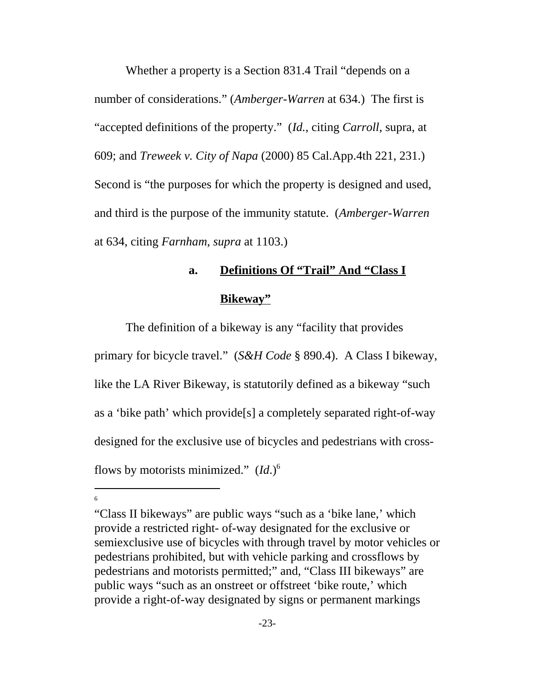Whether a property is a Section 831.4 Trail "depends on a number of considerations." (*Amberger-Warren* at 634.) The first is "accepted definitions of the property." (*Id.*, citing *Carroll*, supra, at 609; and *Treweek v. City of Napa* (2000) 85 Cal.App.4th 221, 231.) Second is "the purposes for which the property is designed and used, and third is the purpose of the immunity statute. (*Amberger-Warren* at 634, citing *Farnham*, *supra* at 1103.)

### **a. Definitions Of "Trail" And "Class I**

### **Bikeway"**

The definition of a bikeway is any "facility that provides primary for bicycle travel." (*S&H Code* § 890.4). A Class I bikeway, like the LA River Bikeway, is statutorily defined as a bikeway "such as a 'bike path' which provide[s] a completely separated right-of-way designed for the exclusive use of bicycles and pedestrians with crossflows by motorists minimized." (*Id*.)6

<sup>&</sup>quot;Class II bikeways" are public ways "such as a 'bike lane,' which provide a restricted right- of-way designated for the exclusive or semiexclusive use of bicycles with through travel by motor vehicles or pedestrians prohibited, but with vehicle parking and crossflows by pedestrians and motorists permitted;" and, "Class III bikeways" are public ways "such as an onstreet or offstreet 'bike route,' which provide a right-of-way designated by signs or permanent markings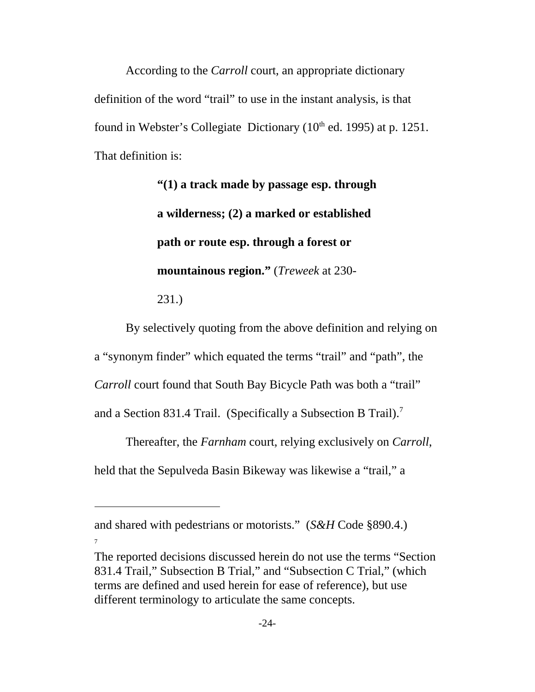According to the *Carroll* court, an appropriate dictionary definition of the word "trail" to use in the instant analysis, is that found in Webster's Collegiate Dictionary  $(10<sup>th</sup>$  ed. 1995) at p. 1251. That definition is:

> **"(1) a track made by passage esp. through a wilderness; (2) a marked or established path or route esp. through a forest or mountainous region."** (*Treweek* at 230- 231.)

By selectively quoting from the above definition and relying on a "synonym finder" which equated the terms "trail" and "path", the *Carroll* court found that South Bay Bicycle Path was both a "trail" and a Section 831.4 Trail. (Specifically a Subsection B Trail).<sup>7</sup>

Thereafter, the *Farnham* court, relying exclusively on *Carroll*, held that the Sepulveda Basin Bikeway was likewise a "trail," a

and shared with pedestrians or motorists." (*S&H* Code §890.4.) 7

The reported decisions discussed herein do not use the terms "Section 831.4 Trail," Subsection B Trial," and "Subsection C Trial," (which terms are defined and used herein for ease of reference), but use different terminology to articulate the same concepts.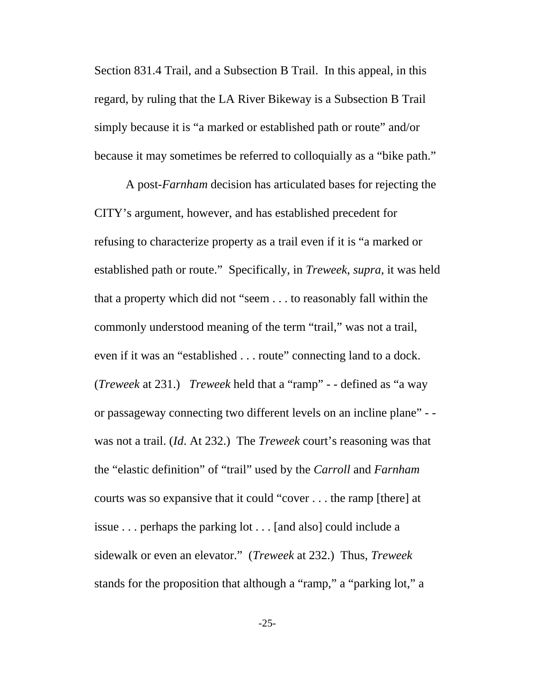Section 831.4 Trail, and a Subsection B Trail. In this appeal, in this regard, by ruling that the LA River Bikeway is a Subsection B Trail simply because it is "a marked or established path or route" and/or because it may sometimes be referred to colloquially as a "bike path."

A post-*Farnham* decision has articulated bases for rejecting the CITY's argument, however, and has established precedent for refusing to characterize property as a trail even if it is "a marked or established path or route." Specifically, in *Treweek*, *supra*, it was held that a property which did not "seem . . . to reasonably fall within the commonly understood meaning of the term "trail," was not a trail, even if it was an "established . . . route" connecting land to a dock. (*Treweek* at 231.) *Treweek* held that a "ramp" - - defined as "a way or passageway connecting two different levels on an incline plane" - was not a trail. (*Id*. At 232.) The *Treweek* court's reasoning was that the "elastic definition" of "trail" used by the *Carroll* and *Farnham* courts was so expansive that it could "cover . . . the ramp [there] at issue . . . perhaps the parking lot . . . [and also] could include a sidewalk or even an elevator." (*Treweek* at 232.) Thus, *Treweek* stands for the proposition that although a "ramp," a "parking lot," a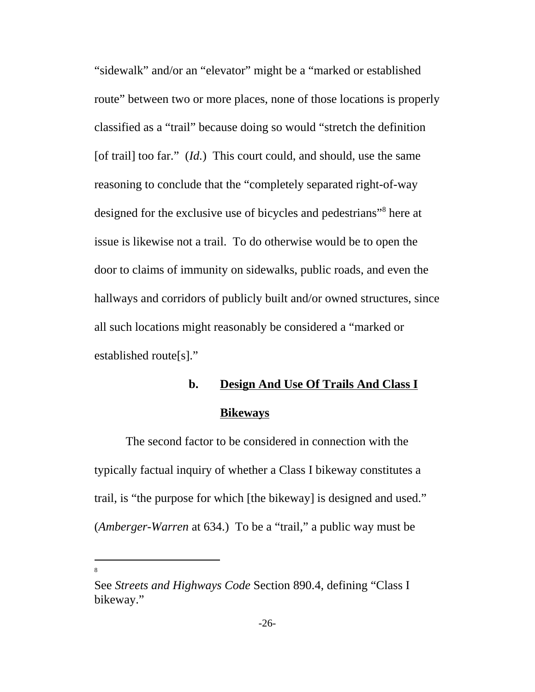"sidewalk" and/or an "elevator" might be a "marked or established route" between two or more places, none of those locations is properly classified as a "trail" because doing so would "stretch the definition [of trail] too far." (*Id.*) This court could, and should, use the same reasoning to conclude that the "completely separated right-of-way designed for the exclusive use of bicycles and pedestrians"<sup>8</sup> here at issue is likewise not a trail. To do otherwise would be to open the door to claims of immunity on sidewalks, public roads, and even the hallways and corridors of publicly built and/or owned structures, since all such locations might reasonably be considered a "marked or established route[s]."

# **b. Design And Use Of Trails And Class I Bikeways**

The second factor to be considered in connection with the typically factual inquiry of whether a Class I bikeway constitutes a trail, is "the purpose for which [the bikeway] is designed and used." (*Amberger-Warren* at 634.) To be a "trail," a public way must be

See *Streets and Highways Code* Section 890.4, defining "Class I bikeway."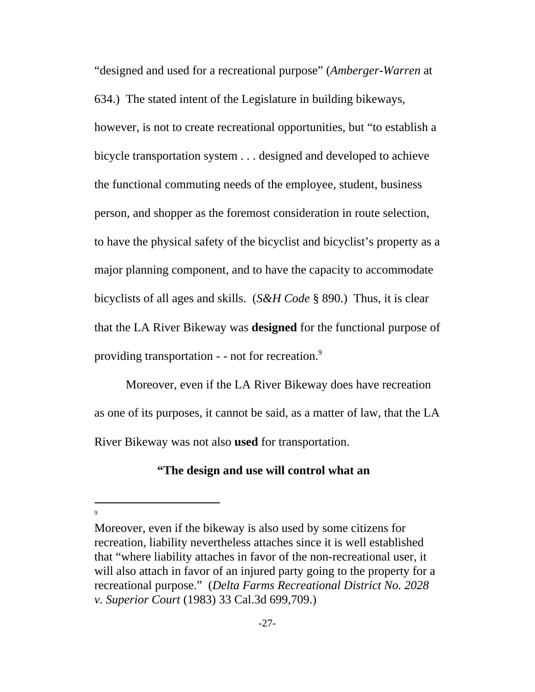"designed and used for a recreational purpose" (*Amberger-Warren* at 634.) The stated intent of the Legislature in building bikeways, however, is not to create recreational opportunities, but "to establish a bicycle transportation system . . . designed and developed to achieve the functional commuting needs of the employee, student, business person, and shopper as the foremost consideration in route selection, to have the physical safety of the bicyclist and bicyclist's property as a major planning component, and to have the capacity to accommodate bicyclists of all ages and skills. (*S&H Code* § 890.) Thus, it is clear that the LA River Bikeway was **designed** for the functional purpose of providing transportation - - not for recreation.<sup>9</sup>

Moreover, even if the LA River Bikeway does have recreation as one of its purposes, it cannot be said, as a matter of law, that the LA River Bikeway was not also **used** for transportation.

### **"The design and use will control what an**

Moreover, even if the bikeway is also used by some citizens for recreation, liability nevertheless attaches since it is well established that "where liability attaches in favor of the non-recreational user, it will also attach in favor of an injured party going to the property for a recreational purpose." (*Delta Farms Recreational District No. 2028 v. Superior Court* (1983) 33 Cal.3d 699,709.)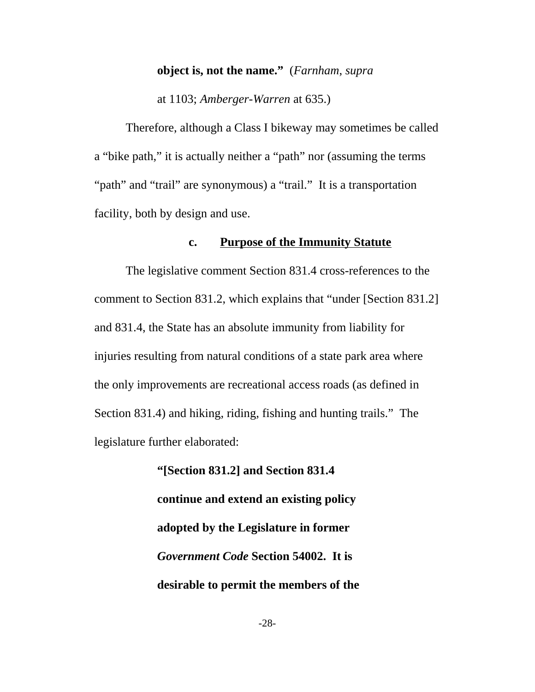### **object is, not the name."** (*Farnham*, *supra*

at 1103; *Amberger-Warren* at 635.)

Therefore, although a Class I bikeway may sometimes be called a "bike path," it is actually neither a "path" nor (assuming the terms "path" and "trail" are synonymous) a "trail." It is a transportation facility, both by design and use.

### **c. Purpose of the Immunity Statute**

The legislative comment Section 831.4 cross-references to the comment to Section 831.2, which explains that "under [Section 831.2] and 831.4, the State has an absolute immunity from liability for injuries resulting from natural conditions of a state park area where the only improvements are recreational access roads (as defined in Section 831.4) and hiking, riding, fishing and hunting trails." The legislature further elaborated:

> **"[Section 831.2] and Section 831.4 continue and extend an existing policy adopted by the Legislature in former** *Government Code* **Section 54002. It is desirable to permit the members of the**

> > -28-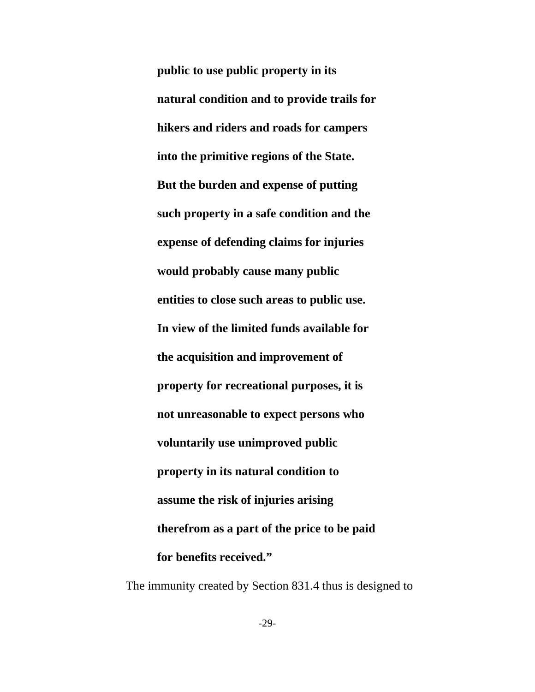**public to use public property in its natural condition and to provide trails for hikers and riders and roads for campers into the primitive regions of the State. But the burden and expense of putting such property in a safe condition and the expense of defending claims for injuries would probably cause many public entities to close such areas to public use. In view of the limited funds available for the acquisition and improvement of property for recreational purposes, it is not unreasonable to expect persons who voluntarily use unimproved public property in its natural condition to assume the risk of injuries arising therefrom as a part of the price to be paid for benefits received."**

The immunity created by Section 831.4 thus is designed to

-29-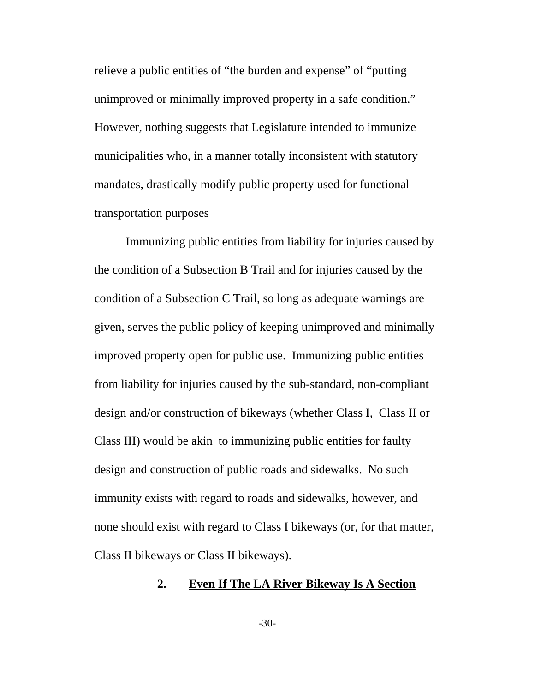relieve a public entities of "the burden and expense" of "putting unimproved or minimally improved property in a safe condition." However, nothing suggests that Legislature intended to immunize municipalities who, in a manner totally inconsistent with statutory mandates, drastically modify public property used for functional transportation purposes

Immunizing public entities from liability for injuries caused by the condition of a Subsection B Trail and for injuries caused by the condition of a Subsection C Trail, so long as adequate warnings are given, serves the public policy of keeping unimproved and minimally improved property open for public use. Immunizing public entities from liability for injuries caused by the sub-standard, non-compliant design and/or construction of bikeways (whether Class I, Class II or Class III) would be akin to immunizing public entities for faulty design and construction of public roads and sidewalks. No such immunity exists with regard to roads and sidewalks, however, and none should exist with regard to Class I bikeways (or, for that matter, Class II bikeways or Class II bikeways).

### **2. Even If The LA River Bikeway Is A Section**

-30-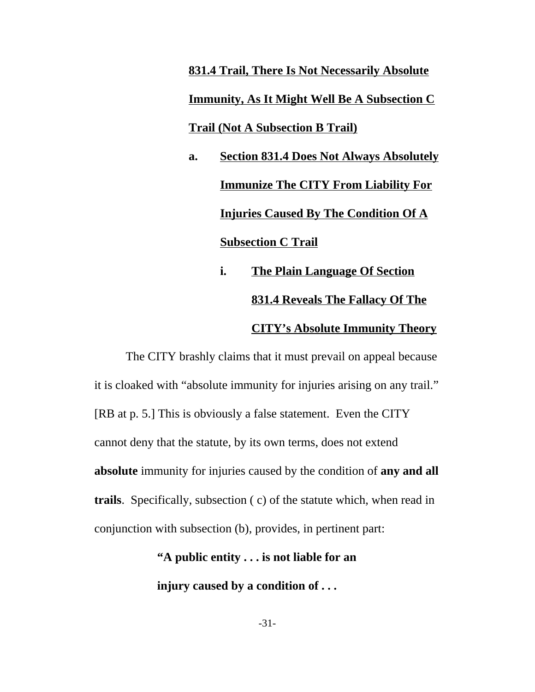**831.4 Trail, There Is Not Necessarily Absolute Immunity, As It Might Well Be A Subsection C Trail (Not A Subsection B Trail)**

**a. Section 831.4 Does Not Always Absolutely Immunize The CITY From Liability For Injuries Caused By The Condition Of A Subsection C Trail**

> **i. The Plain Language Of Section 831.4 Reveals The Fallacy Of The CITY's Absolute Immunity Theory**

The CITY brashly claims that it must prevail on appeal because it is cloaked with "absolute immunity for injuries arising on any trail." [RB at p. 5.] This is obviously a false statement. Even the CITY cannot deny that the statute, by its own terms, does not extend **absolute** immunity for injuries caused by the condition of **any and all trails**. Specifically, subsection ( c) of the statute which, when read in conjunction with subsection (b), provides, in pertinent part:

> **"A public entity . . . is not liable for an injury caused by a condition of . . .**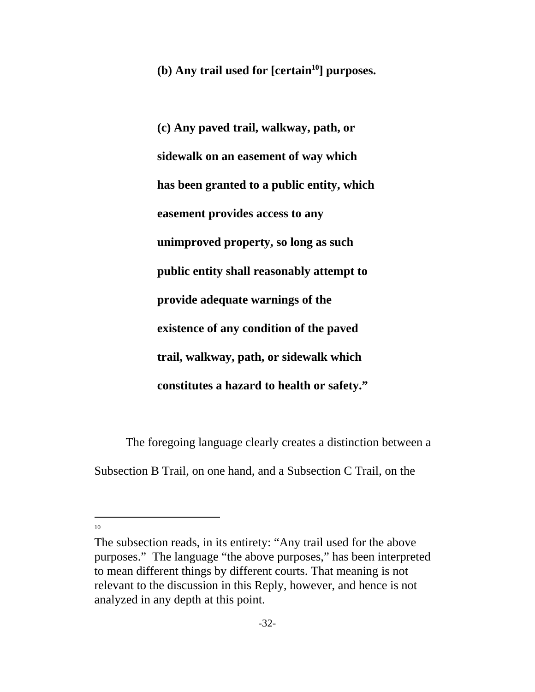**(b)** Any trail used for [certain<sup>10</sup>] purposes.

**(c) Any paved trail, walkway, path, or sidewalk on an easement of way which has been granted to a public entity, which easement provides access to any unimproved property, so long as such public entity shall reasonably attempt to provide adequate warnings of the existence of any condition of the paved trail, walkway, path, or sidewalk which constitutes a hazard to health or safety."**

The foregoing language clearly creates a distinction between a Subsection B Trail, on one hand, and a Subsection C Trail, on the

The subsection reads, in its entirety: "Any trail used for the above purposes." The language "the above purposes," has been interpreted to mean different things by different courts. That meaning is not relevant to the discussion in this Reply, however, and hence is not analyzed in any depth at this point.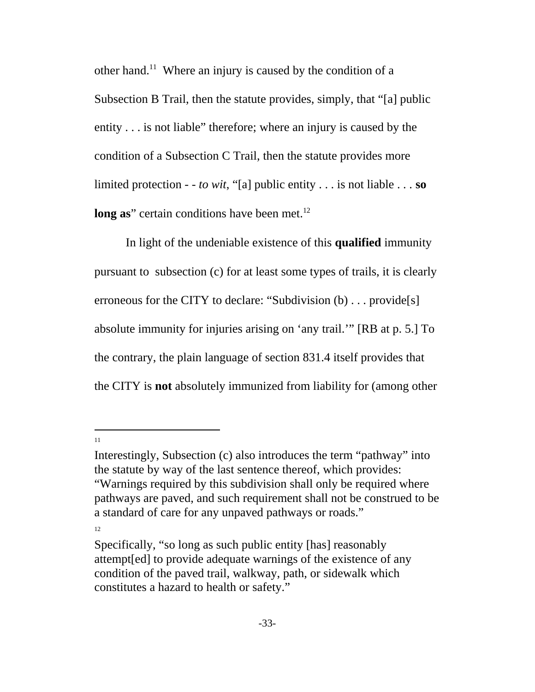other hand.11 Where an injury is caused by the condition of a Subsection B Trail, then the statute provides, simply, that "[a] public entity . . . is not liable" therefore; where an injury is caused by the condition of a Subsection C Trail, then the statute provides more limited protection - - *to wit*, "[a] public entity . . . is not liable . . . **so long as**" certain conditions have been met.<sup>12</sup>

In light of the undeniable existence of this **qualified** immunity pursuant to subsection (c) for at least some types of trails, it is clearly erroneous for the CITY to declare: "Subdivision (b) . . . provide[s] absolute immunity for injuries arising on 'any trail.'" [RB at p. 5.] To the contrary, the plain language of section 831.4 itself provides that the CITY is **not** absolutely immunized from liability for (among other

11

Interestingly, Subsection (c) also introduces the term "pathway" into the statute by way of the last sentence thereof, which provides: "Warnings required by this subdivision shall only be required where pathways are paved, and such requirement shall not be construed to be a standard of care for any unpaved pathways or roads."

Specifically, "so long as such public entity [has] reasonably attempt[ed] to provide adequate warnings of the existence of any condition of the paved trail, walkway, path, or sidewalk which constitutes a hazard to health or safety."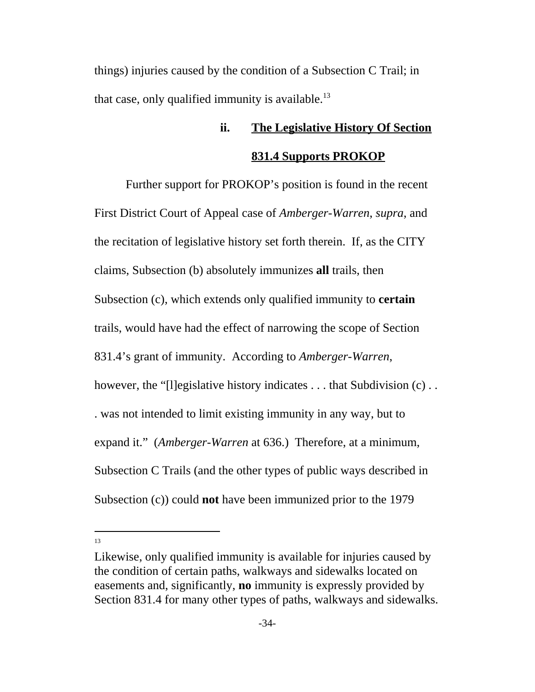things) injuries caused by the condition of a Subsection C Trail; in that case, only qualified immunity is available.<sup>13</sup>

# **ii. The Legislative History Of Section 831.4 Supports PROKOP**

Further support for PROKOP's position is found in the recent First District Court of Appeal case of *Amberger-Warren*, *supra*, and the recitation of legislative history set forth therein. If, as the CITY claims, Subsection (b) absolutely immunizes **all** trails, then Subsection (c), which extends only qualified immunity to **certain** trails, would have had the effect of narrowing the scope of Section 831.4's grant of immunity. According to *Amberger-Warren*, however, the "[l]egislative history indicates . . . that Subdivision (c) . . . was not intended to limit existing immunity in any way, but to expand it." (*Amberger-Warren* at 636.) Therefore, at a minimum, Subsection C Trails (and the other types of public ways described in Subsection (c)) could **not** have been immunized prior to the 1979

Likewise, only qualified immunity is available for injuries caused by the condition of certain paths, walkways and sidewalks located on easements and, significantly, **no** immunity is expressly provided by Section 831.4 for many other types of paths, walkways and sidewalks.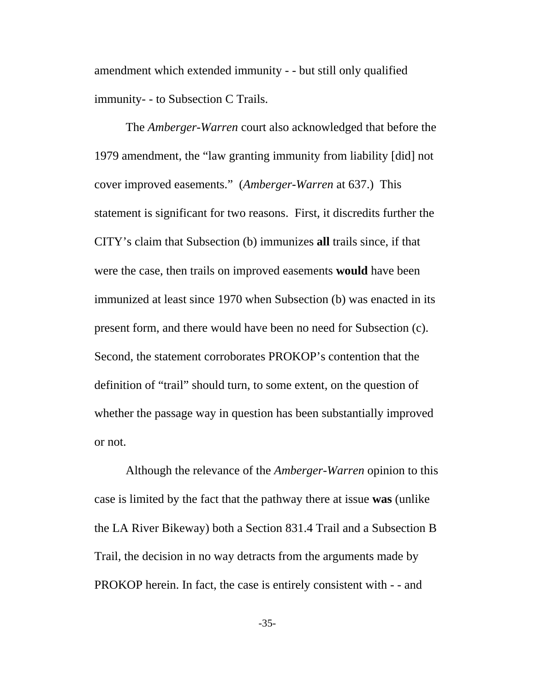amendment which extended immunity - - but still only qualified immunity- - to Subsection C Trails.

The *Amberger-Warren* court also acknowledged that before the 1979 amendment, the "law granting immunity from liability [did] not cover improved easements." (*Amberger-Warren* at 637.) This statement is significant for two reasons. First, it discredits further the CITY's claim that Subsection (b) immunizes **all** trails since, if that were the case, then trails on improved easements **would** have been immunized at least since 1970 when Subsection (b) was enacted in its present form, and there would have been no need for Subsection (c). Second, the statement corroborates PROKOP's contention that the definition of "trail" should turn, to some extent, on the question of whether the passage way in question has been substantially improved or not.

Although the relevance of the *Amberger-Warren* opinion to this case is limited by the fact that the pathway there at issue **was** (unlike the LA River Bikeway) both a Section 831.4 Trail and a Subsection B Trail, the decision in no way detracts from the arguments made by PROKOP herein. In fact, the case is entirely consistent with - - and

-35-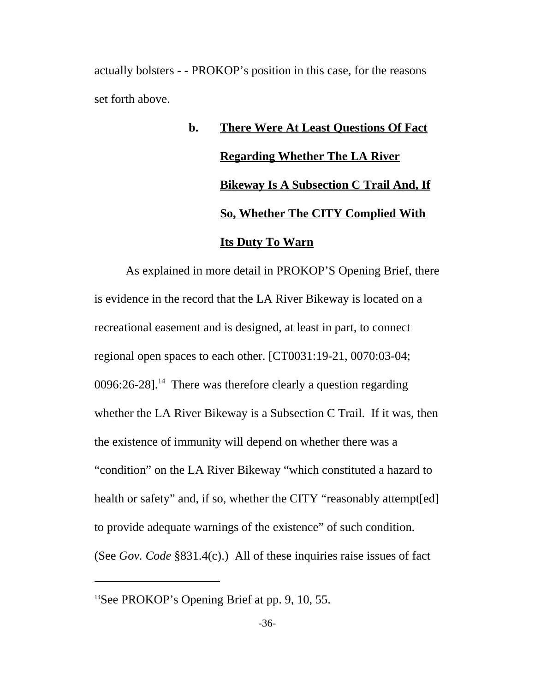actually bolsters - - PROKOP's position in this case, for the reasons set forth above.

# **b. There Were At Least Questions Of Fact Regarding Whether The LA River Bikeway Is A Subsection C Trail And, If So, Whether The CITY Complied With Its Duty To Warn**

As explained in more detail in PROKOP'S Opening Brief, there is evidence in the record that the LA River Bikeway is located on a recreational easement and is designed, at least in part, to connect regional open spaces to each other. [CT0031:19-21, 0070:03-04;  $0096:26-28$ ].<sup>14</sup> There was therefore clearly a question regarding whether the LA River Bikeway is a Subsection C Trail. If it was, then the existence of immunity will depend on whether there was a "condition" on the LA River Bikeway "which constituted a hazard to health or safety" and, if so, whether the CITY "reasonably attempt [ed] to provide adequate warnings of the existence" of such condition. (See *Gov. Code* §831.4(c).) All of these inquiries raise issues of fact

<sup>&</sup>lt;sup>14</sup>See PROKOP's Opening Brief at pp. 9, 10, 55.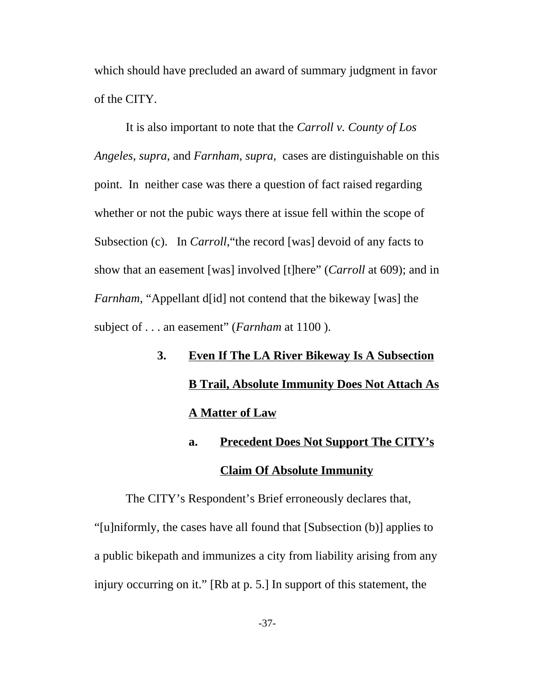which should have precluded an award of summary judgment in favor of the CITY.

It is also important to note that the *Carroll v. County of Los Angeles*, *supra*, and *Farnham*, *supra*, cases are distinguishable on this point. In neither case was there a question of fact raised regarding whether or not the pubic ways there at issue fell within the scope of Subsection (c). In *Carroll*, "the record [was] devoid of any facts to show that an easement [was] involved [t]here" (*Carroll* at 609); and in *Farnham*, "Appellant d[id] not contend that the bikeway [was] the subject of . . . an easement" (*Farnham* at 1100 ).

- **3. Even If The LA River Bikeway Is A Subsection B Trail, Absolute Immunity Does Not Attach As A Matter of Law**
	- **a. Precedent Does Not Support The CITY's Claim Of Absolute Immunity**

The CITY's Respondent's Brief erroneously declares that, "[u]niformly, the cases have all found that [Subsection (b)] applies to a public bikepath and immunizes a city from liability arising from any injury occurring on it." [Rb at p. 5.] In support of this statement, the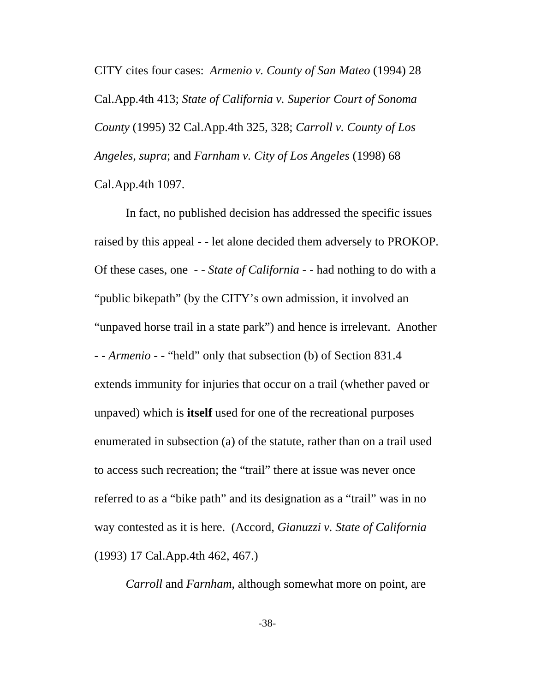CITY cites four cases: *Armenio v. County of San Mateo* (1994) 28 Cal.App.4th 413; *State of California v. Superior Court of Sonoma County* (1995) 32 Cal.App.4th 325, 328; *Carroll v. County of Los Angeles*, *supra*; and *Farnham v. City of Los Angeles* (1998) 68 Cal.App.4th 1097.

In fact, no published decision has addressed the specific issues raised by this appeal - - let alone decided them adversely to PROKOP. Of these cases, one - - *State of California* - - had nothing to do with a "public bikepath" (by the CITY's own admission, it involved an "unpaved horse trail in a state park") and hence is irrelevant. Another - - *Armenio* - - "held" only that subsection (b) of Section 831.4 extends immunity for injuries that occur on a trail (whether paved or unpaved) which is **itself** used for one of the recreational purposes enumerated in subsection (a) of the statute, rather than on a trail used to access such recreation; the "trail" there at issue was never once referred to as a "bike path" and its designation as a "trail" was in no way contested as it is here. (Accord, *Gianuzzi v. State of California* (1993) 17 Cal.App.4th 462, 467.)

*Carroll* and *Farnham*, although somewhat more on point, are

-38-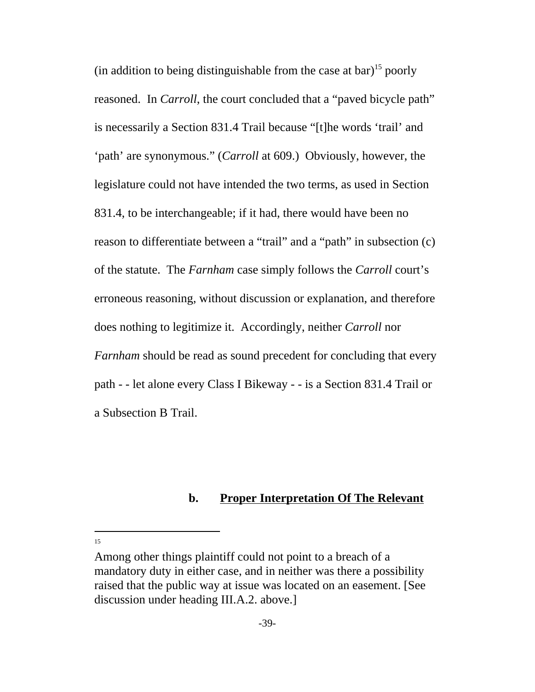(in addition to being distinguishable from the case at bar)<sup>15</sup> poorly reasoned. In *Carroll*, the court concluded that a "paved bicycle path" is necessarily a Section 831.4 Trail because "[t]he words 'trail' and 'path' are synonymous." (*Carroll* at 609.) Obviously, however, the legislature could not have intended the two terms, as used in Section 831.4, to be interchangeable; if it had, there would have been no reason to differentiate between a "trail" and a "path" in subsection (c) of the statute. The *Farnham* case simply follows the *Carroll* court's erroneous reasoning, without discussion or explanation, and therefore does nothing to legitimize it. Accordingly, neither *Carroll* nor *Farnham* should be read as sound precedent for concluding that every path - - let alone every Class I Bikeway - - is a Section 831.4 Trail or a Subsection B Trail.

### **b. Proper Interpretation Of The Relevant**

Among other things plaintiff could not point to a breach of a mandatory duty in either case, and in neither was there a possibility raised that the public way at issue was located on an easement. [See discussion under heading III.A.2. above.]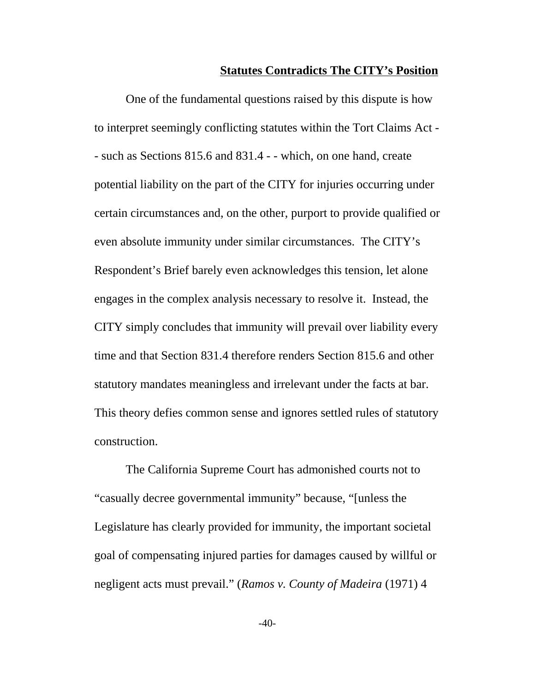#### **Statutes Contradicts The CITY's Position**

One of the fundamental questions raised by this dispute is how to interpret seemingly conflicting statutes within the Tort Claims Act - - such as Sections 815.6 and 831.4 - - which, on one hand, create potential liability on the part of the CITY for injuries occurring under certain circumstances and, on the other, purport to provide qualified or even absolute immunity under similar circumstances. The CITY's Respondent's Brief barely even acknowledges this tension, let alone engages in the complex analysis necessary to resolve it. Instead, the CITY simply concludes that immunity will prevail over liability every time and that Section 831.4 therefore renders Section 815.6 and other statutory mandates meaningless and irrelevant under the facts at bar. This theory defies common sense and ignores settled rules of statutory construction.

The California Supreme Court has admonished courts not to "casually decree governmental immunity" because, "[unless the Legislature has clearly provided for immunity, the important societal goal of compensating injured parties for damages caused by willful or negligent acts must prevail." (*Ramos v. County of Madeira* (1971) 4

 $-40-$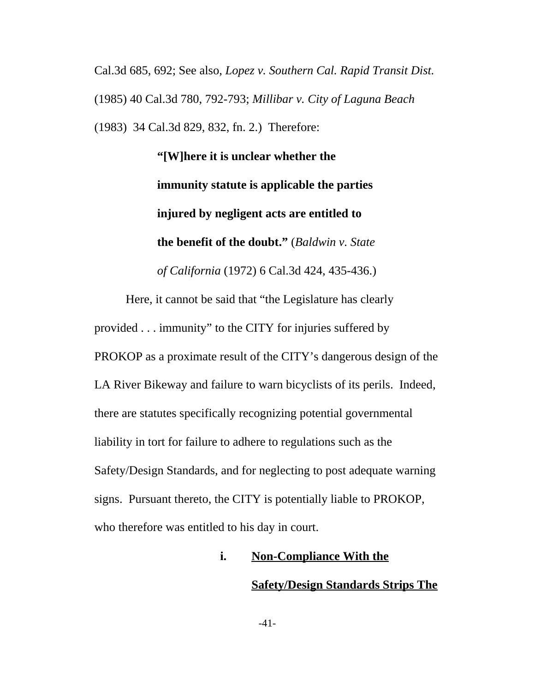Cal.3d 685, 692; See also, *Lopez v. Southern Cal. Rapid Transit Dist.* (1985) 40 Cal.3d 780, 792-793; *Millibar v. City of Laguna Beach* (1983) 34 Cal.3d 829, 832, fn. 2.) Therefore:

> **"[W]here it is unclear whether the immunity statute is applicable the parties injured by negligent acts are entitled to the benefit of the doubt."** (*Baldwin v. State of California* (1972) 6 Cal.3d 424, 435-436.)

Here, it cannot be said that "the Legislature has clearly provided . . . immunity" to the CITY for injuries suffered by PROKOP as a proximate result of the CITY's dangerous design of the LA River Bikeway and failure to warn bicyclists of its perils. Indeed, there are statutes specifically recognizing potential governmental liability in tort for failure to adhere to regulations such as the Safety/Design Standards, and for neglecting to post adequate warning signs. Pursuant thereto, the CITY is potentially liable to PROKOP, who therefore was entitled to his day in court.

> **i. Non-Compliance With the Safety/Design Standards Strips The**

> > -41-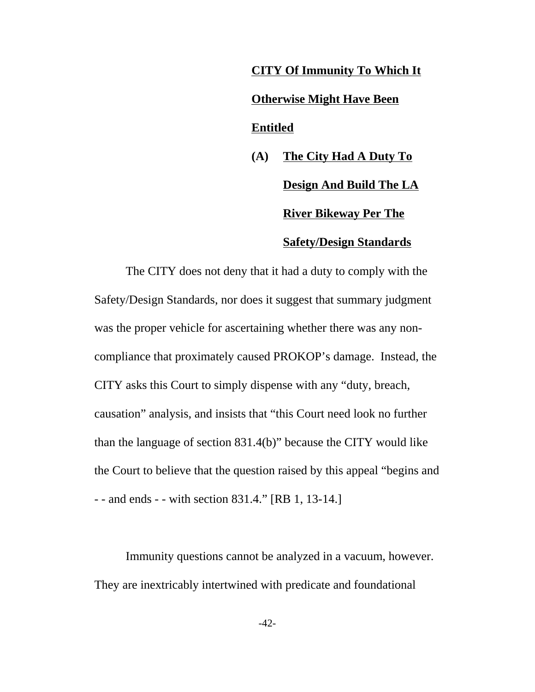# **CITY Of Immunity To Which It Otherwise Might Have Been Entitled**

**(A) The City Had A Duty To Design And Build The LA River Bikeway Per The Safety/Design Standards**

The CITY does not deny that it had a duty to comply with the Safety/Design Standards, nor does it suggest that summary judgment was the proper vehicle for ascertaining whether there was any noncompliance that proximately caused PROKOP's damage. Instead, the CITY asks this Court to simply dispense with any "duty, breach, causation" analysis, and insists that "this Court need look no further than the language of section 831.4(b)" because the CITY would like the Court to believe that the question raised by this appeal "begins and - - and ends - - with section 831.4." [RB 1, 13-14.]

Immunity questions cannot be analyzed in a vacuum, however. They are inextricably intertwined with predicate and foundational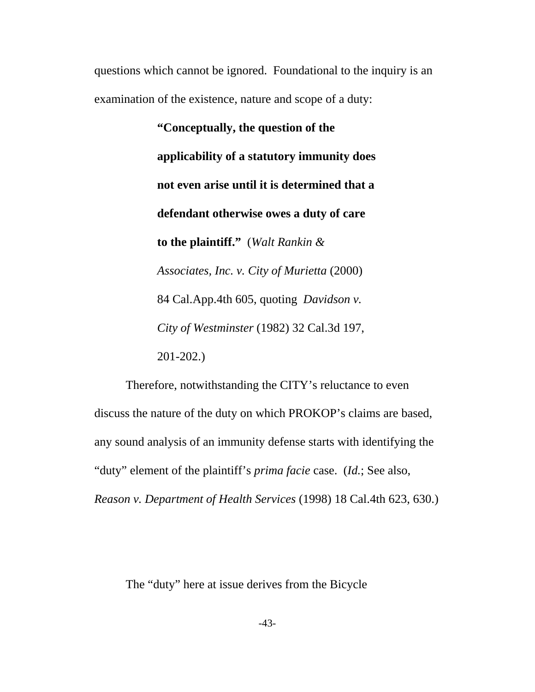questions which cannot be ignored. Foundational to the inquiry is an examination of the existence, nature and scope of a duty:

> **"Conceptually, the question of the applicability of a statutory immunity does not even arise until it is determined that a defendant otherwise owes a duty of care to the plaintiff."** (*Walt Rankin & Associates, Inc. v. City of Murietta* (2000) 84 Cal.App.4th 605, quoting *Davidson v. City of Westminster* (1982) 32 Cal.3d 197, 201-202.)

Therefore, notwithstanding the CITY's reluctance to even discuss the nature of the duty on which PROKOP's claims are based, any sound analysis of an immunity defense starts with identifying the "duty" element of the plaintiff's *prima facie* case. (*Id.*; See also, *Reason v. Department of Health Services* (1998) 18 Cal.4th 623, 630.)

The "duty" here at issue derives from the Bicycle

-43-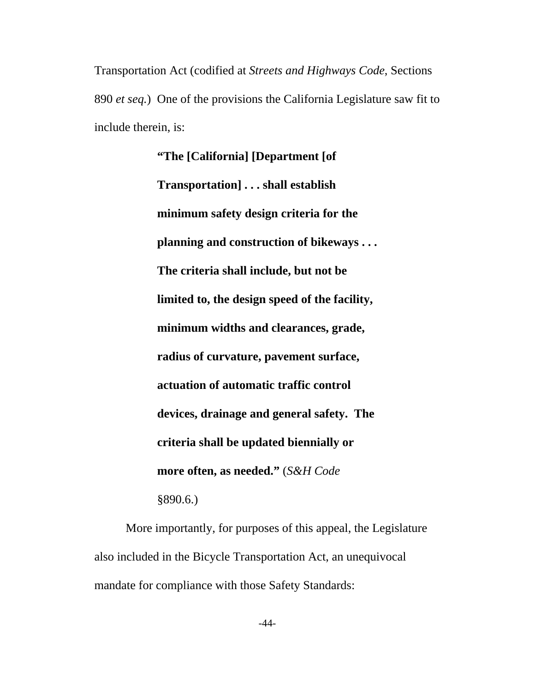Transportation Act (codified at *Streets and Highways Code*, Sections 890 *et seq.*) One of the provisions the California Legislature saw fit to include therein, is:

> **"The [California] [Department [of Transportation] . . . shall establish minimum safety design criteria for the planning and construction of bikeways . . . The criteria shall include, but not be limited to, the design speed of the facility, minimum widths and clearances, grade, radius of curvature, pavement surface, actuation of automatic traffic control devices, drainage and general safety. The criteria shall be updated biennially or more often, as needed."** (*S&H Code* §890.6.)

More importantly, for purposes of this appeal, the Legislature also included in the Bicycle Transportation Act, an unequivocal mandate for compliance with those Safety Standards: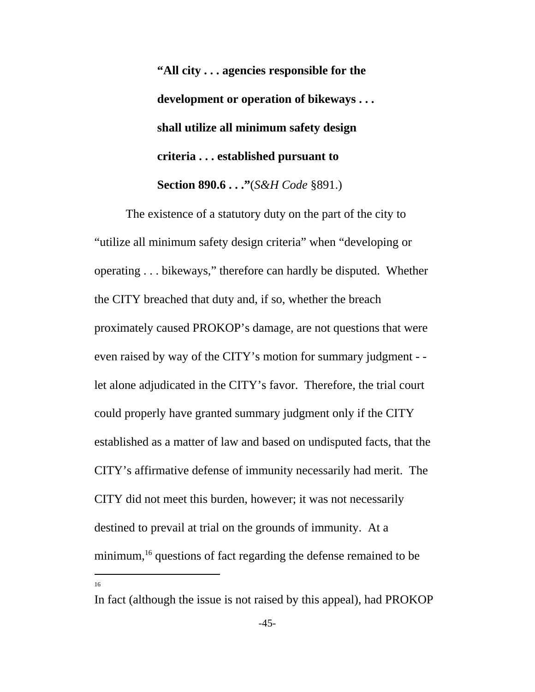**"All city . . . agencies responsible for the development or operation of bikeways . . . shall utilize all minimum safety design criteria . . . established pursuant to Section 890.6 . . ."**(*S&H Code* §891.)

The existence of a statutory duty on the part of the city to "utilize all minimum safety design criteria" when "developing or operating . . . bikeways," therefore can hardly be disputed. Whether the CITY breached that duty and, if so, whether the breach proximately caused PROKOP's damage, are not questions that were even raised by way of the CITY's motion for summary judgment - let alone adjudicated in the CITY's favor. Therefore, the trial court could properly have granted summary judgment only if the CITY established as a matter of law and based on undisputed facts, that the CITY's affirmative defense of immunity necessarily had merit. The CITY did not meet this burden, however; it was not necessarily destined to prevail at trial on the grounds of immunity. At a minimum,<sup>16</sup> questions of fact regarding the defense remained to be

In fact (although the issue is not raised by this appeal), had PROKOP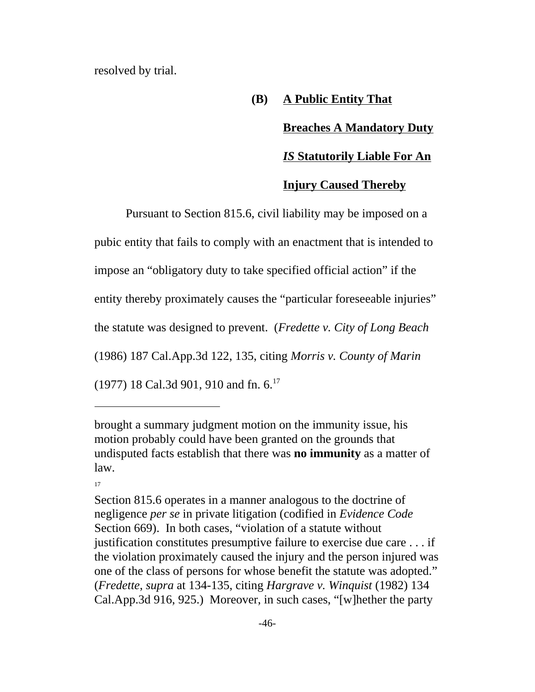resolved by trial.

### **(B) A Public Entity That**

### **Breaches A Mandatory Duty**

### *IS* **Statutorily Liable For An**

### **Injury Caused Thereby**

Pursuant to Section 815.6, civil liability may be imposed on a pubic entity that fails to comply with an enactment that is intended to impose an "obligatory duty to take specified official action" if the entity thereby proximately causes the "particular foreseeable injuries" the statute was designed to prevent. (*Fredette v. City of Long Beach* (1986) 187 Cal.App.3d 122, 135, citing *Morris v. County of Marin* (1977) 18 Cal.3d 901, 910 and fn. 6.<sup>17</sup>

brought a summary judgment motion on the immunity issue, his motion probably could have been granted on the grounds that undisputed facts establish that there was **no immunity** as a matter of law.

Section 815.6 operates in a manner analogous to the doctrine of negligence *per se* in private litigation (codified in *Evidence Code* Section 669). In both cases, "violation of a statute without justification constitutes presumptive failure to exercise due care . . . if the violation proximately caused the injury and the person injured was one of the class of persons for whose benefit the statute was adopted." (*Fredette*, *supra* at 134-135, citing *Hargrave v. Winquist* (1982) 134 Cal.App.3d 916, 925.) Moreover, in such cases, "[w]hether the party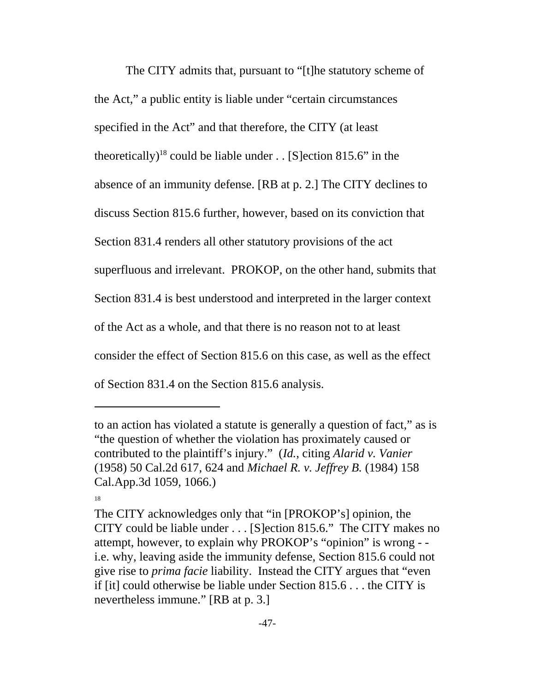The CITY admits that, pursuant to "[t]he statutory scheme of the Act," a public entity is liable under "certain circumstances specified in the Act" and that therefore, the CITY (at least theoretically)<sup>18</sup> could be liable under . . [S] ection 815.6" in the absence of an immunity defense. [RB at p. 2.] The CITY declines to discuss Section 815.6 further, however, based on its conviction that Section 831.4 renders all other statutory provisions of the act superfluous and irrelevant. PROKOP, on the other hand, submits that Section 831.4 is best understood and interpreted in the larger context of the Act as a whole, and that there is no reason not to at least consider the effect of Section 815.6 on this case, as well as the effect of Section 831.4 on the Section 815.6 analysis.

to an action has violated a statute is generally a question of fact," as is "the question of whether the violation has proximately caused or contributed to the plaintiff's injury." (*Id.*, citing *Alarid v. Vanier* (1958) 50 Cal.2d 617, 624 and *Michael R. v. Jeffrey B.* (1984) 158 Cal.App.3d 1059, 1066.)

<sup>18</sup>

The CITY acknowledges only that "in [PROKOP's] opinion, the CITY could be liable under . . . [S]ection 815.6." The CITY makes no attempt, however, to explain why PROKOP's "opinion" is wrong - i.e. why, leaving aside the immunity defense, Section 815.6 could not give rise to *prima facie* liability. Instead the CITY argues that "even if [it] could otherwise be liable under Section 815.6 . . . the CITY is nevertheless immune." [RB at p. 3.]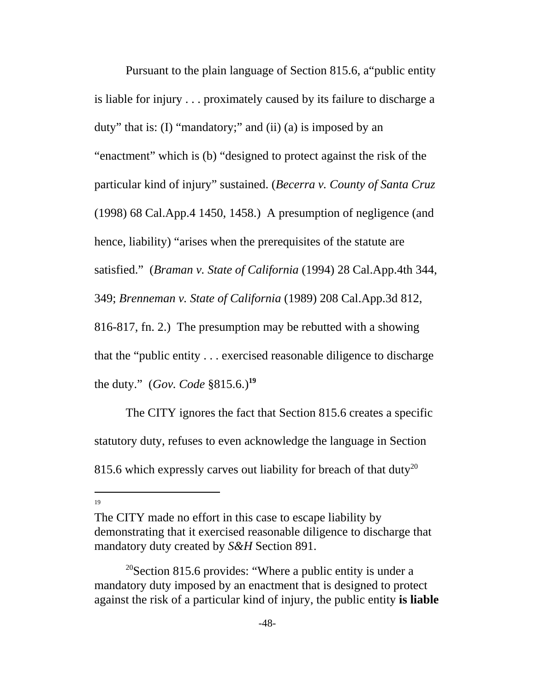Pursuant to the plain language of Section 815.6, a"public entity is liable for injury . . . proximately caused by its failure to discharge a duty" that is: (I) "mandatory;" and (ii) (a) is imposed by an "enactment" which is (b) "designed to protect against the risk of the particular kind of injury" sustained. (*Becerra v. County of Santa Cruz* (1998) 68 Cal.App.4 1450, 1458.) A presumption of negligence (and hence, liability) "arises when the prerequisites of the statute are satisfied." (*Braman v. State of California* (1994) 28 Cal.App.4th 344, 349; *Brenneman v. State of California* (1989) 208 Cal.App.3d 812, 816-817, fn. 2.) The presumption may be rebutted with a showing that the "public entity . . . exercised reasonable diligence to discharge the duty." (*Gov. Code* §815.6.)**<sup>19</sup>**

The CITY ignores the fact that Section 815.6 creates a specific statutory duty, refuses to even acknowledge the language in Section 815.6 which expressly carves out liability for breach of that duty<sup>20</sup>

The CITY made no effort in this case to escape liability by demonstrating that it exercised reasonable diligence to discharge that mandatory duty created by *S&H* Section 891.

<sup>&</sup>lt;sup>20</sup>Section 815.6 provides: "Where a public entity is under a mandatory duty imposed by an enactment that is designed to protect against the risk of a particular kind of injury, the public entity **is liable**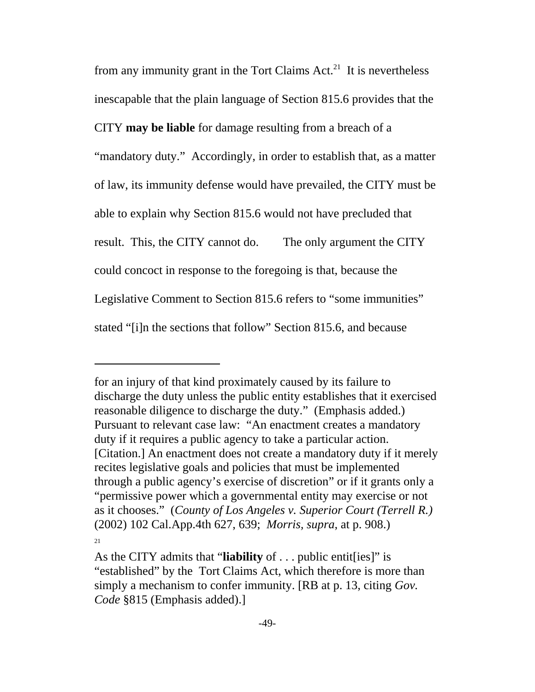from any immunity grant in the Tort Claims  $Act.^{21}$  It is nevertheless inescapable that the plain language of Section 815.6 provides that the CITY **may be liable** for damage resulting from a breach of a "mandatory duty." Accordingly, in order to establish that, as a matter of law, its immunity defense would have prevailed, the CITY must be able to explain why Section 815.6 would not have precluded that result. This, the CITY cannot do. The only argument the CITY could concoct in response to the foregoing is that, because the Legislative Comment to Section 815.6 refers to "some immunities" stated "[i]n the sections that follow" Section 815.6, and because

for an injury of that kind proximately caused by its failure to discharge the duty unless the public entity establishes that it exercised reasonable diligence to discharge the duty." (Emphasis added.) Pursuant to relevant case law: "An enactment creates a mandatory duty if it requires a public agency to take a particular action. [Citation.] An enactment does not create a mandatory duty if it merely recites legislative goals and policies that must be implemented through a public agency's exercise of discretion" or if it grants only a "permissive power which a governmental entity may exercise or not as it chooses." (*County of Los Angeles v. Superior Court (Terrell R.)* (2002) 102 Cal.App.4th 627, 639; *Morris, supra*, at p. 908.) 21

As the CITY admits that "**liability** of . . . public entit[ies]" is "established" by the Tort Claims Act, which therefore is more than simply a mechanism to confer immunity. [RB at p. 13, citing *Gov. Code* §815 (Emphasis added).]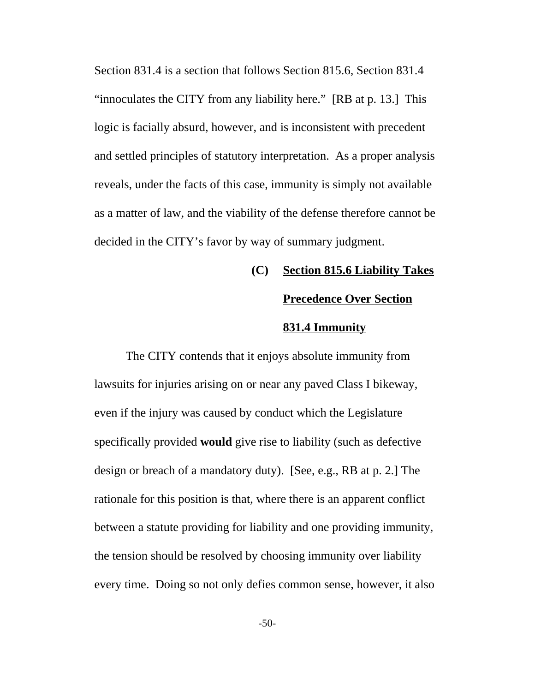Section 831.4 is a section that follows Section 815.6, Section 831.4 "innoculates the CITY from any liability here." [RB at p. 13.] This logic is facially absurd, however, and is inconsistent with precedent and settled principles of statutory interpretation. As a proper analysis reveals, under the facts of this case, immunity is simply not available as a matter of law, and the viability of the defense therefore cannot be decided in the CITY's favor by way of summary judgment.

### **(C) Section 815.6 Liability Takes**

### **Precedence Over Section**

### **831.4 Immunity**

The CITY contends that it enjoys absolute immunity from lawsuits for injuries arising on or near any paved Class I bikeway, even if the injury was caused by conduct which the Legislature specifically provided **would** give rise to liability (such as defective design or breach of a mandatory duty). [See, e.g., RB at p. 2.] The rationale for this position is that, where there is an apparent conflict between a statute providing for liability and one providing immunity, the tension should be resolved by choosing immunity over liability every time. Doing so not only defies common sense, however, it also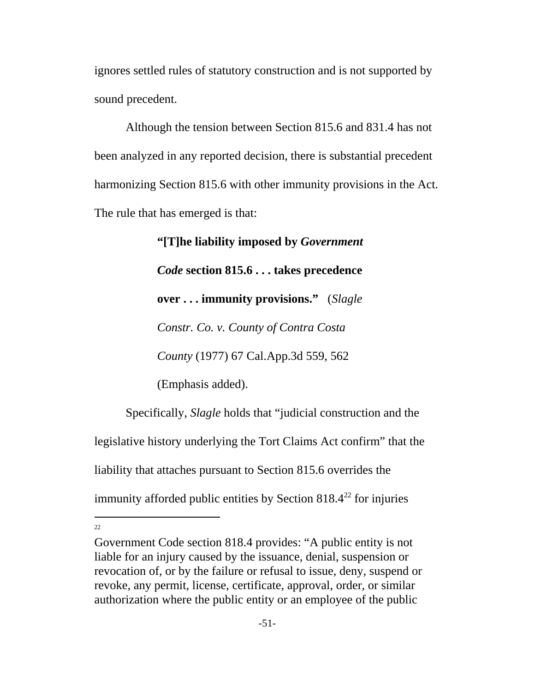ignores settled rules of statutory construction and is not supported by sound precedent.

Although the tension between Section 815.6 and 831.4 has not been analyzed in any reported decision, there is substantial precedent harmonizing Section 815.6 with other immunity provisions in the Act. The rule that has emerged is that:

> **"[T]he liability imposed by** *Government Code* **section 815.6 . . . takes precedence over . . . immunity provisions."** (*Slagle Constr. Co. v. County of Contra Costa County* (1977) 67 Cal.App.3d 559, 562 (Emphasis added).

Specifically, *Slagle* holds that "judicial construction and the legislative history underlying the Tort Claims Act confirm" that the liability that attaches pursuant to Section 815.6 overrides the immunity afforded public entities by Section  $818.4^{22}$  for injuries

Government Code section 818.4 provides: "A public entity is not liable for an injury caused by the issuance, denial, suspension or revocation of, or by the failure or refusal to issue, deny, suspend or revoke, any permit, license, certificate, approval, order, or similar authorization where the public entity or an employee of the public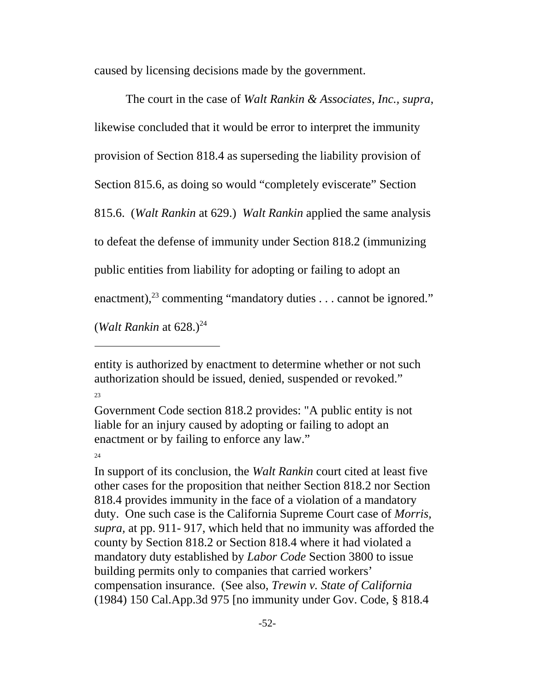caused by licensing decisions made by the government.

The court in the case of *Walt Rankin & Associates, Inc., supra*, likewise concluded that it would be error to interpret the immunity provision of Section 818.4 as superseding the liability provision of Section 815.6, as doing so would "completely eviscerate" Section 815.6. (*Walt Rankin* at 629.) *Walt Rankin* applied the same analysis to defeat the defense of immunity under Section 818.2 (immunizing public entities from liability for adopting or failing to adopt an enactment),<sup>23</sup> commenting "mandatory duties  $\dots$  cannot be ignored." (*Walt Rankin* at  $628.$ )<sup>24</sup>

entity is authorized by enactment to determine whether or not such authorization should be issued, denied, suspended or revoked." 23

Government Code section 818.2 provides: "A public entity is not liable for an injury caused by adopting or failing to adopt an enactment or by failing to enforce any law."

#### 24

In support of its conclusion, the *Walt Rankin* court cited at least five other cases for the proposition that neither Section 818.2 nor Section 818.4 provides immunity in the face of a violation of a mandatory duty. One such case is the California Supreme Court case of *Morris, supra,* at pp. 911- 917, which held that no immunity was afforded the county by Section 818.2 or Section 818.4 where it had violated a mandatory duty established by *Labor Code* Section 3800 to issue building permits only to companies that carried workers' compensation insurance. (See also, *Trewin v. State of California* (1984) 150 Cal.App.3d 975 [no immunity under Gov. Code, § 818.4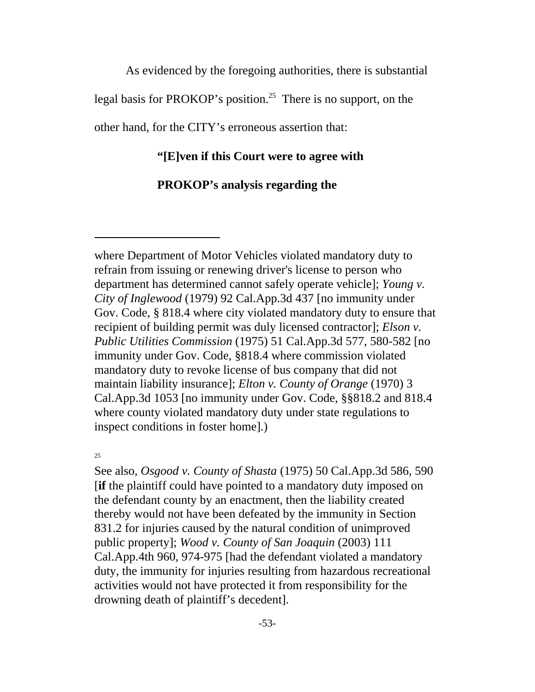As evidenced by the foregoing authorities, there is substantial legal basis for PROKOP's position.<sup>25</sup> There is no support, on the other hand, for the CITY's erroneous assertion that:

### **"[E]ven if this Court were to agree with**

### **PROKOP's analysis regarding the**

where Department of Motor Vehicles violated mandatory duty to refrain from issuing or renewing driver's license to person who department has determined cannot safely operate vehicle]; *Young v. City of Inglewood* (1979) 92 Cal.App.3d 437 [no immunity under Gov. Code, § 818.4 where city violated mandatory duty to ensure that recipient of building permit was duly licensed contractor]; *Elson v. Public Utilities Commission* (1975) 51 Cal.App.3d 577, 580-582 [no immunity under Gov. Code, §818.4 where commission violated mandatory duty to revoke license of bus company that did not maintain liability insurance]; *Elton v. County of Orange* (1970) 3 Cal.App.3d 1053 [no immunity under Gov. Code, §§818.2 and 818.4 where county violated mandatory duty under state regulations to inspect conditions in foster home].)

25

See also, *Osgood v. County of Shasta* (1975) 50 Cal.App.3d 586, 590 [**if** the plaintiff could have pointed to a mandatory duty imposed on the defendant county by an enactment, then the liability created thereby would not have been defeated by the immunity in Section 831.2 for injuries caused by the natural condition of unimproved public property]; *Wood v. County of San Joaquin* (2003) 111 Cal.App.4th 960, 974-975 [had the defendant violated a mandatory duty, the immunity for injuries resulting from hazardous recreational activities would not have protected it from responsibility for the drowning death of plaintiff's decedent].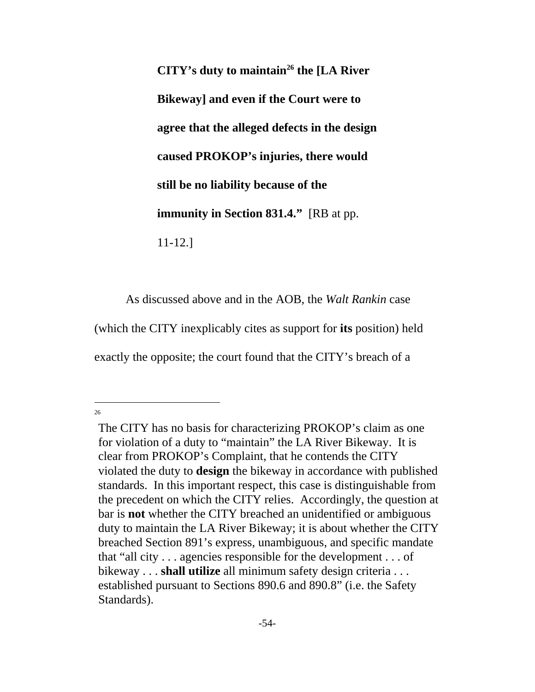**CITY's duty to maintain<sup>26</sup> the [LA River Bikeway] and even if the Court were to agree that the alleged defects in the design caused PROKOP's injuries, there would still be no liability because of the immunity in Section 831.4."** [RB at pp. 11-12.]

As discussed above and in the AOB, the *Walt Rankin* case (which the CITY inexplicably cites as support for **its** position) held exactly the opposite; the court found that the CITY's breach of a

The CITY has no basis for characterizing PROKOP's claim as one for violation of a duty to "maintain" the LA River Bikeway. It is clear from PROKOP's Complaint, that he contends the CITY violated the duty to **design** the bikeway in accordance with published standards. In this important respect, this case is distinguishable from the precedent on which the CITY relies. Accordingly, the question at bar is **not** whether the CITY breached an unidentified or ambiguous duty to maintain the LA River Bikeway; it is about whether the CITY breached Section 891's express, unambiguous, and specific mandate that "all city . . . agencies responsible for the development . . . of bikeway . . . **shall utilize** all minimum safety design criteria . . . established pursuant to Sections 890.6 and 890.8" (i.e. the Safety Standards).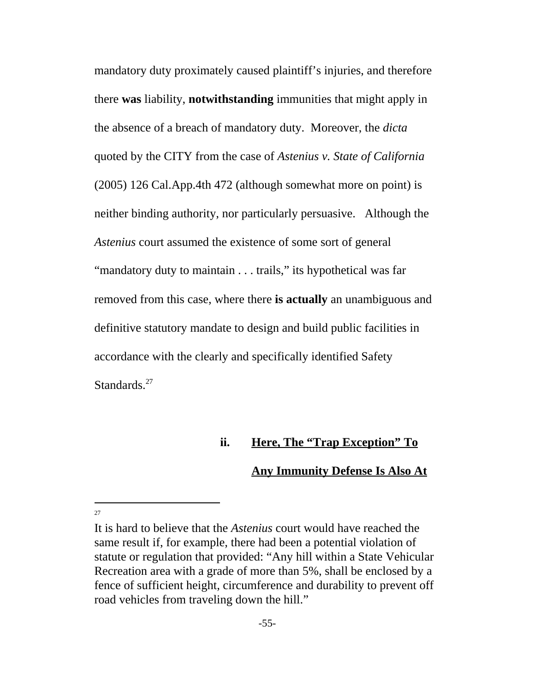mandatory duty proximately caused plaintiff's injuries, and therefore there **was** liability, **notwithstanding** immunities that might apply in the absence of a breach of mandatory duty. Moreover, the *dicta* quoted by the CITY from the case of *Astenius v. State of California* (2005) 126 Cal.App.4th 472 (although somewhat more on point) is neither binding authority, nor particularly persuasive. Although the *Astenius* court assumed the existence of some sort of general "mandatory duty to maintain . . . trails," its hypothetical was far removed from this case, where there **is actually** an unambiguous and definitive statutory mandate to design and build public facilities in accordance with the clearly and specifically identified Safety Standards.<sup>27</sup>

### **ii. Here, The "Trap Exception" To**

### **Any Immunity Defense Is Also At**

It is hard to believe that the *Astenius* court would have reached the same result if, for example, there had been a potential violation of statute or regulation that provided: "Any hill within a State Vehicular Recreation area with a grade of more than 5%, shall be enclosed by a fence of sufficient height, circumference and durability to prevent off road vehicles from traveling down the hill."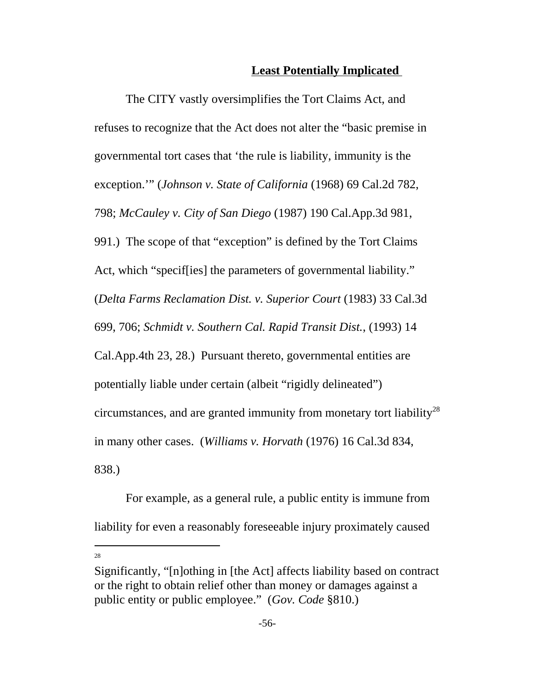### **Least Potentially Implicated**

The CITY vastly oversimplifies the Tort Claims Act, and refuses to recognize that the Act does not alter the "basic premise in governmental tort cases that 'the rule is liability, immunity is the exception.'" (*Johnson v. State of California* (1968) 69 Cal.2d 782, 798; *McCauley v. City of San Diego* (1987) 190 Cal.App.3d 981, 991.) The scope of that "exception" is defined by the Tort Claims Act, which "specif[ies] the parameters of governmental liability." (*Delta Farms Reclamation Dist. v. Superior Court* (1983) 33 Cal.3d 699, 706; *Schmidt v. Southern Cal. Rapid Transit Dist.*, (1993) 14 Cal.App.4th 23, 28.) Pursuant thereto, governmental entities are potentially liable under certain (albeit "rigidly delineated") circumstances, and are granted immunity from monetary tort liability<sup>28</sup> in many other cases. (*Williams v. Horvath* (1976) 16 Cal.3d 834, 838.)

For example, as a general rule, a public entity is immune from liability for even a reasonably foreseeable injury proximately caused

Significantly, "[n]othing in [the Act] affects liability based on contract or the right to obtain relief other than money or damages against a public entity or public employee." (*Gov. Code* §810.)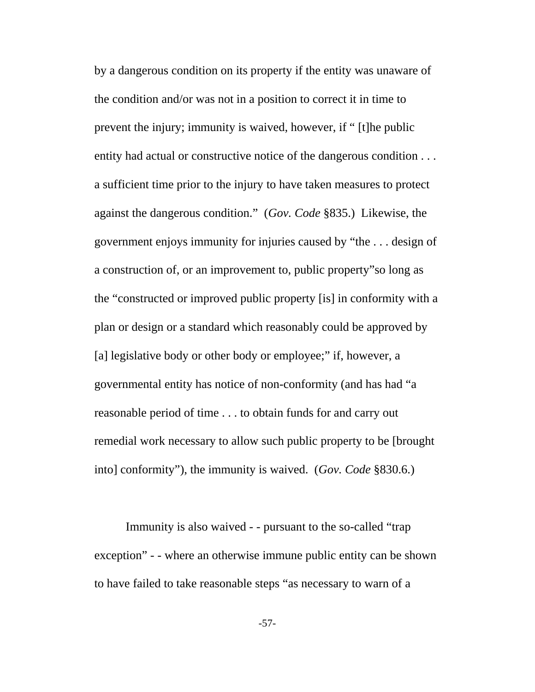by a dangerous condition on its property if the entity was unaware of the condition and/or was not in a position to correct it in time to prevent the injury; immunity is waived, however, if " [t]he public entity had actual or constructive notice of the dangerous condition . . . a sufficient time prior to the injury to have taken measures to protect against the dangerous condition." (*Gov. Code* §835.) Likewise, the government enjoys immunity for injuries caused by "the . . . design of a construction of, or an improvement to, public property"so long as the "constructed or improved public property [is] in conformity with a plan or design or a standard which reasonably could be approved by [a] legislative body or other body or employee;" if, however, a governmental entity has notice of non-conformity (and has had "a reasonable period of time . . . to obtain funds for and carry out remedial work necessary to allow such public property to be [brought into] conformity"), the immunity is waived. (*Gov. Code* §830.6.)

Immunity is also waived - - pursuant to the so-called "trap exception" - - where an otherwise immune public entity can be shown to have failed to take reasonable steps "as necessary to warn of a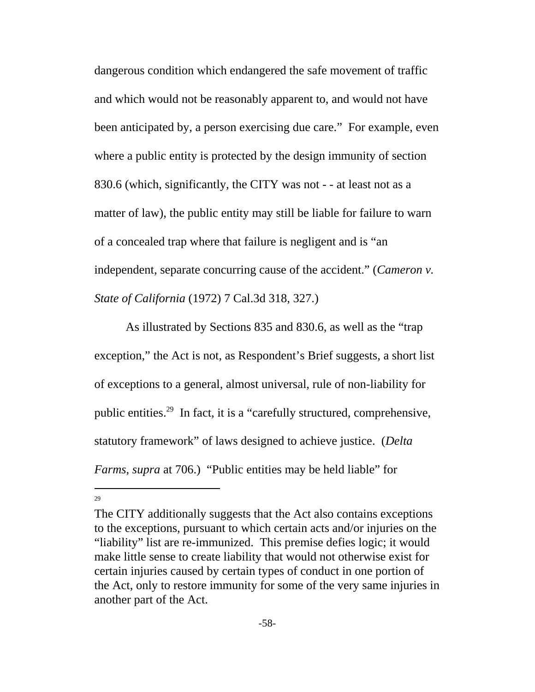dangerous condition which endangered the safe movement of traffic and which would not be reasonably apparent to, and would not have been anticipated by, a person exercising due care." For example, even where a public entity is protected by the design immunity of section 830.6 (which, significantly, the CITY was not - - at least not as a matter of law), the public entity may still be liable for failure to warn of a concealed trap where that failure is negligent and is "an independent, separate concurring cause of the accident." (*Cameron v. State of California* (1972) 7 Cal.3d 318, 327.)

As illustrated by Sections 835 and 830.6, as well as the "trap exception," the Act is not, as Respondent's Brief suggests, a short list of exceptions to a general, almost universal, rule of non-liability for public entities.29 In fact, it is a "carefully structured, comprehensive, statutory framework" of laws designed to achieve justice. (*Delta Farms*, *supra* at 706.) "Public entities may be held liable" for

The CITY additionally suggests that the Act also contains exceptions to the exceptions, pursuant to which certain acts and/or injuries on the "liability" list are re-immunized. This premise defies logic; it would make little sense to create liability that would not otherwise exist for certain injuries caused by certain types of conduct in one portion of the Act, only to restore immunity for some of the very same injuries in another part of the Act.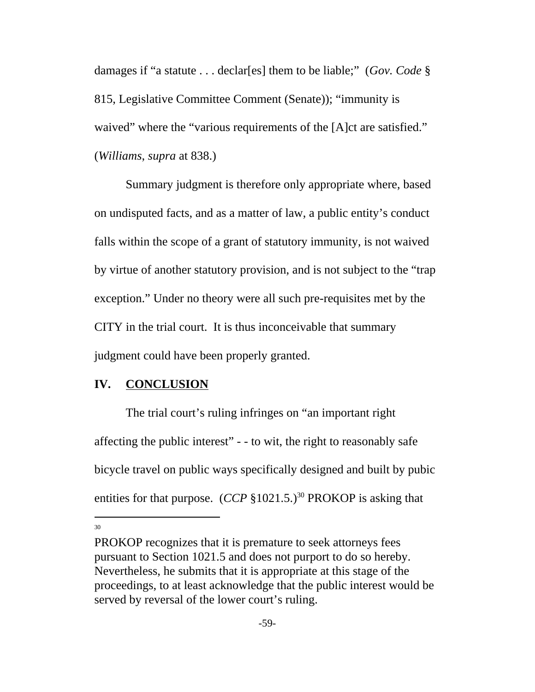damages if "a statute . . . declar[es] them to be liable;" (*Gov. Code* § 815, Legislative Committee Comment (Senate)); "immunity is waived" where the "various requirements of the [A]ct are satisfied." (*Williams*, *supra* at 838.)

Summary judgment is therefore only appropriate where, based on undisputed facts, and as a matter of law, a public entity's conduct falls within the scope of a grant of statutory immunity, is not waived by virtue of another statutory provision, and is not subject to the "trap exception." Under no theory were all such pre-requisites met by the CITY in the trial court. It is thus inconceivable that summary judgment could have been properly granted.

### **IV. CONCLUSION**

The trial court's ruling infringes on "an important right affecting the public interest" - - to wit, the right to reasonably safe bicycle travel on public ways specifically designed and built by pubic entities for that purpose.  $(CCP \, \S 1021.5.)^{30}$  PROKOP is asking that

PROKOP recognizes that it is premature to seek attorneys fees pursuant to Section 1021.5 and does not purport to do so hereby. Nevertheless, he submits that it is appropriate at this stage of the proceedings, to at least acknowledge that the public interest would be served by reversal of the lower court's ruling.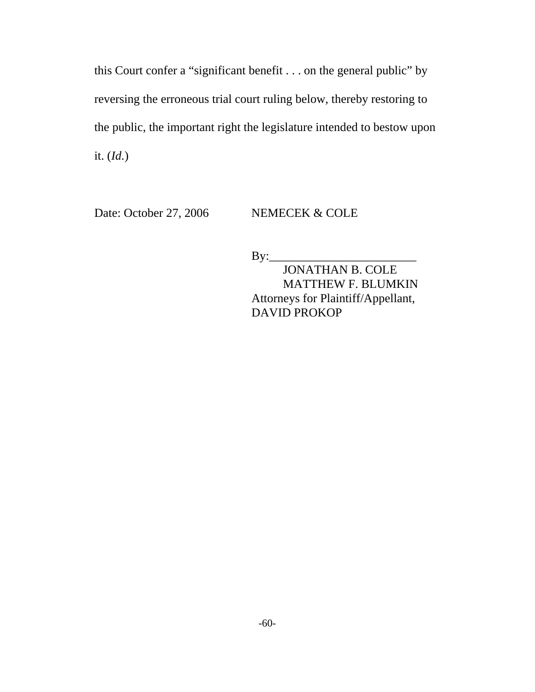this Court confer a "significant benefit . . . on the general public" by reversing the erroneous trial court ruling below, thereby restoring to the public, the important right the legislature intended to bestow upon it. (*Id.*)

Date: October 27, 2006 NEMECEK & COLE

 $By:$ 

JONATHAN B. COLE MATTHEW F. BLUMKIN Attorneys for Plaintiff/Appellant, DAVID PROKOP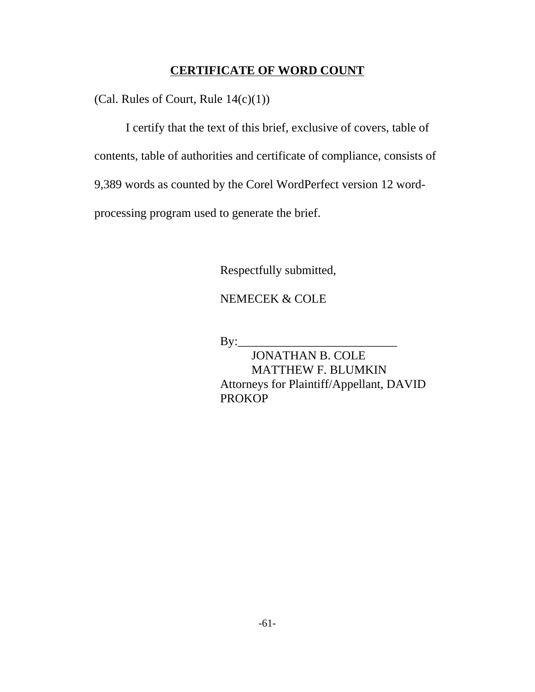### **CERTIFICATE OF WORD COUNT**

(Cal. Rules of Court, Rule  $14(c)(1)$ )

I certify that the text of this brief, exclusive of covers, table of contents, table of authorities and certificate of compliance, consists of 9,389 words as counted by the Corel WordPerfect version 12 wordprocessing program used to generate the brief.

Respectfully submitted,

NEMECEK & COLE

 $By:$ 

JONATHAN B. COLE MATTHEW F. BLUMKIN Attorneys for Plaintiff/Appellant, DAVID PROKOP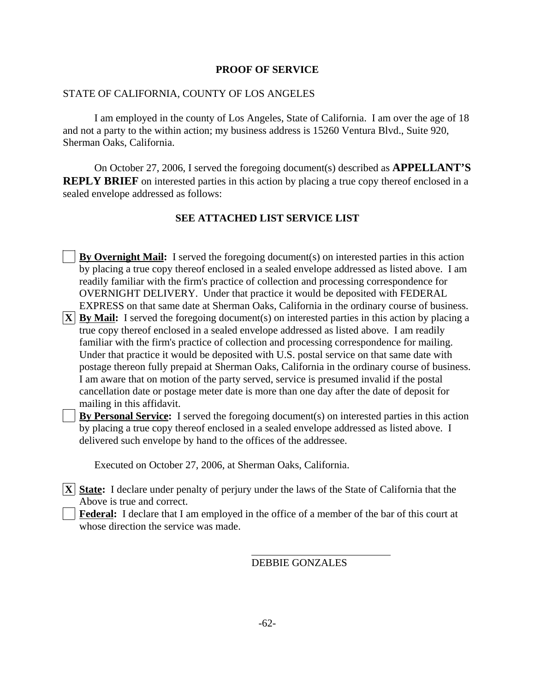### **PROOF OF SERVICE**

#### STATE OF CALIFORNIA, COUNTY OF LOS ANGELES

I am employed in the county of Los Angeles, State of California. I am over the age of 18 and not a party to the within action; my business address is 15260 Ventura Blvd., Suite 920, Sherman Oaks, California.

On October 27, 2006, I served the foregoing document(s) described as **APPELLANT'S REPLY BRIEF** on interested parties in this action by placing a true copy thereof enclosed in a sealed envelope addressed as follows:

### **SEE ATTACHED LIST SERVICE LIST**

**By Overnight Mail:** I served the foregoing document(s) on interested parties in this action by placing a true copy thereof enclosed in a sealed envelope addressed as listed above. I am readily familiar with the firm's practice of collection and processing correspondence for OVERNIGHT DELIVERY. Under that practice it would be deposited with FEDERAL EXPRESS on that same date at Sherman Oaks, California in the ordinary course of business.

 $|\mathbf{X}|$  **By Mail:** I served the foregoing document(s) on interested parties in this action by placing a true copy thereof enclosed in a sealed envelope addressed as listed above. I am readily familiar with the firm's practice of collection and processing correspondence for mailing. Under that practice it would be deposited with U.S. postal service on that same date with postage thereon fully prepaid at Sherman Oaks, California in the ordinary course of business. I am aware that on motion of the party served, service is presumed invalid if the postal cancellation date or postage meter date is more than one day after the date of deposit for mailing in this affidavit.

**By Personal Service:** I served the foregoing document(s) on interested parties in this action by placing a true copy thereof enclosed in a sealed envelope addressed as listed above. I delivered such envelope by hand to the offices of the addressee.

Executed on October 27, 2006, at Sherman Oaks, California.

**X State:** I declare under penalty of perjury under the laws of the State of California that the Above is true and correct.

**Federal:** I declare that I am employed in the office of a member of the bar of this court at whose direction the service was made.

 $\overline{a}$ 

DEBBIE GONZALES